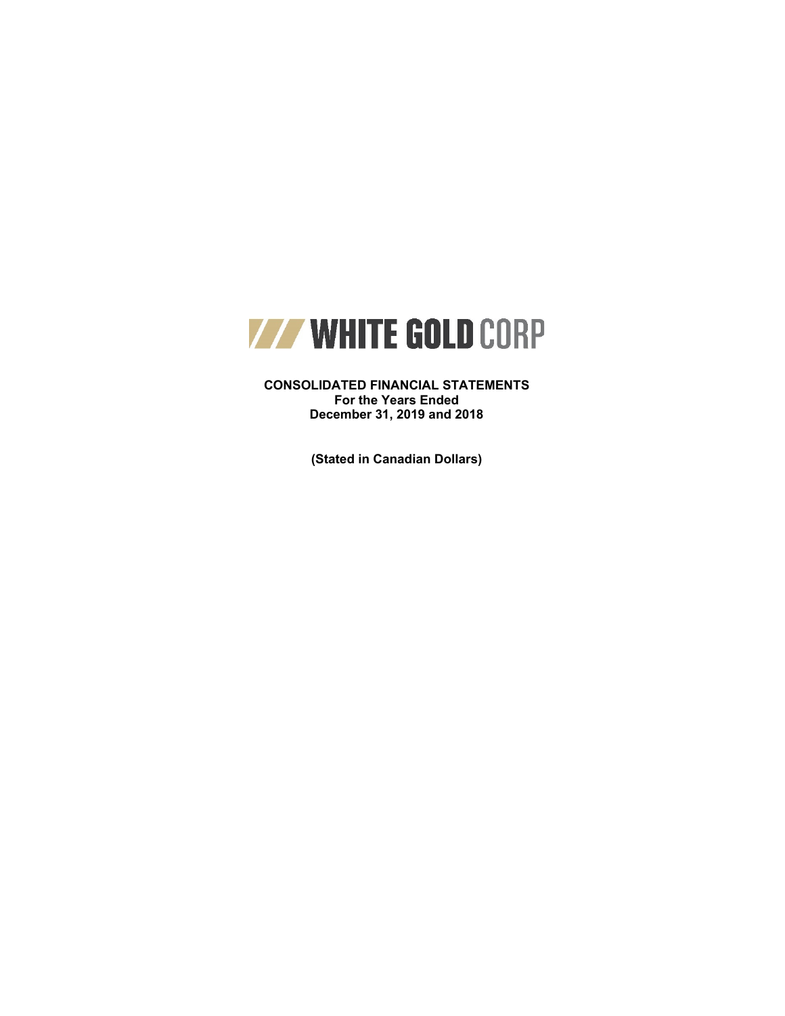

**CONSOLIDATED FINANCIAL STATEMENTS For the Years Ended December 31, 2019 and 2018**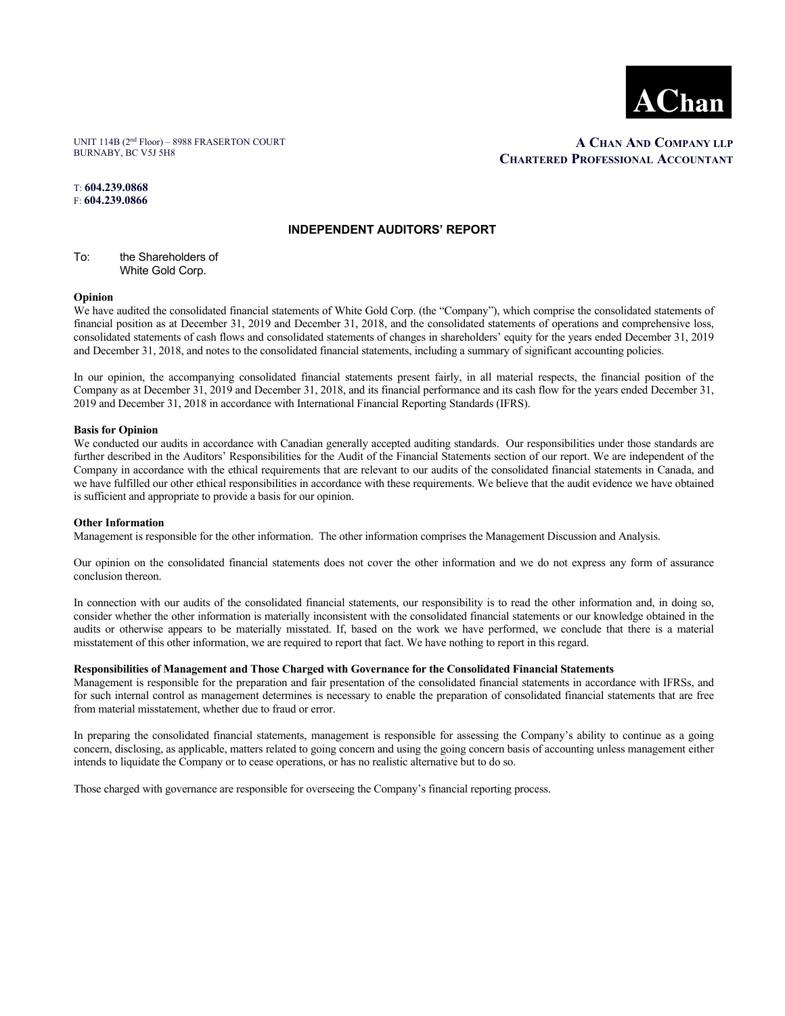

UNIT 114B (2nd Floor) – 8988 FRASERTON COURT BURNABY, BC V5J 5H8

 **A CHAN AND COMPANY LLP CHARTERED PROFESSIONAL ACCOUNTANT**

T: **604.239.0868**  F: **604.239.0866** 

#### **INDEPENDENT AUDITORS' REPORT**

To: the Shareholders of White Gold Corp.

#### **Opinion**

We have audited the consolidated financial statements of White Gold Corp. (the "Company"), which comprise the consolidated statements of financial position as at December 31, 2019 and December 31, 2018, and the consolidated statements of operations and comprehensive loss, consolidated statements of cash flows and consolidated statements of changes in shareholders' equity for the years ended December 31, 2019 and December 31, 2018, and notes to the consolidated financial statements, including a summary of significant accounting policies.

In our opinion, the accompanying consolidated financial statements present fairly, in all material respects, the financial position of the Company as at December 31, 2019 and December 31, 2018, and its financial performance and its cash flow for the years ended December 31, 2019 and December 31, 2018 in accordance with International Financial Reporting Standards (IFRS).

#### **Basis for Opinion**

We conducted our audits in accordance with Canadian generally accepted auditing standards. Our responsibilities under those standards are further described in the Auditors' Responsibilities for the Audit of the Financial Statements section of our report. We are independent of the Company in accordance with the ethical requirements that are relevant to our audits of the consolidated financial statements in Canada, and we have fulfilled our other ethical responsibilities in accordance with these requirements. We believe that the audit evidence we have obtained is sufficient and appropriate to provide a basis for our opinion.

#### **Other Information**

Management is responsible for the other information. The other information comprises the Management Discussion and Analysis.

Our opinion on the consolidated financial statements does not cover the other information and we do not express any form of assurance conclusion thereon.

In connection with our audits of the consolidated financial statements, our responsibility is to read the other information and, in doing so, consider whether the other information is materially inconsistent with the consolidated financial statements or our knowledge obtained in the audits or otherwise appears to be materially misstated. If, based on the work we have performed, we conclude that there is a material misstatement of this other information, we are required to report that fact. We have nothing to report in this regard.

#### **Responsibilities of Management and Those Charged with Governance for the Consolidated Financial Statements**

Management is responsible for the preparation and fair presentation of the consolidated financial statements in accordance with IFRSs, and for such internal control as management determines is necessary to enable the preparation of consolidated financial statements that are free from material misstatement, whether due to fraud or error.

In preparing the consolidated financial statements, management is responsible for assessing the Company's ability to continue as a going concern, disclosing, as applicable, matters related to going concern and using the going concern basis of accounting unless management either intends to liquidate the Company or to cease operations, or has no realistic alternative but to do so.

Those charged with governance are responsible for overseeing the Company's financial reporting process.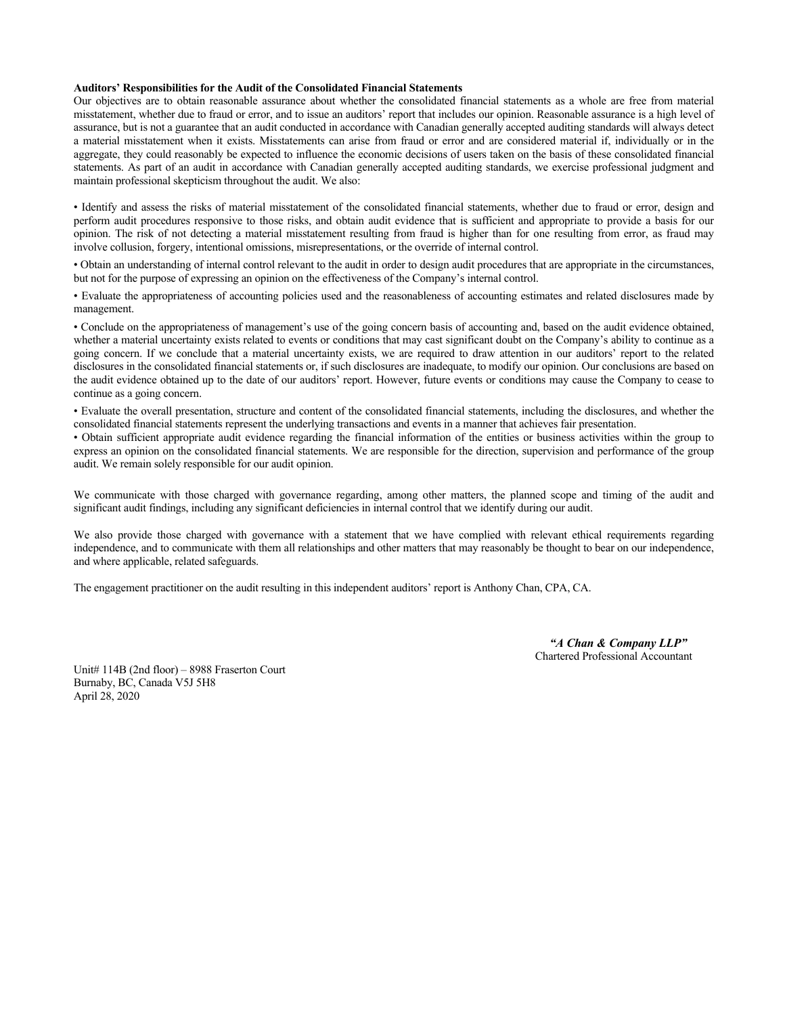#### **Auditors' Responsibilities for the Audit of the Consolidated Financial Statements**

Our objectives are to obtain reasonable assurance about whether the consolidated financial statements as a whole are free from material misstatement, whether due to fraud or error, and to issue an auditors' report that includes our opinion. Reasonable assurance is a high level of assurance, but is not a guarantee that an audit conducted in accordance with Canadian generally accepted auditing standards will always detect a material misstatement when it exists. Misstatements can arise from fraud or error and are considered material if, individually or in the aggregate, they could reasonably be expected to influence the economic decisions of users taken on the basis of these consolidated financial statements. As part of an audit in accordance with Canadian generally accepted auditing standards, we exercise professional judgment and maintain professional skepticism throughout the audit. We also:

• Identify and assess the risks of material misstatement of the consolidated financial statements, whether due to fraud or error, design and perform audit procedures responsive to those risks, and obtain audit evidence that is sufficient and appropriate to provide a basis for our opinion. The risk of not detecting a material misstatement resulting from fraud is higher than for one resulting from error, as fraud may involve collusion, forgery, intentional omissions, misrepresentations, or the override of internal control.

• Obtain an understanding of internal control relevant to the audit in order to design audit procedures that are appropriate in the circumstances, but not for the purpose of expressing an opinion on the effectiveness of the Company's internal control.

• Evaluate the appropriateness of accounting policies used and the reasonableness of accounting estimates and related disclosures made by management.

• Conclude on the appropriateness of management's use of the going concern basis of accounting and, based on the audit evidence obtained, whether a material uncertainty exists related to events or conditions that may cast significant doubt on the Company's ability to continue as a going concern. If we conclude that a material uncertainty exists, we are required to draw attention in our auditors' report to the related disclosures in the consolidated financial statements or, if such disclosures are inadequate, to modify our opinion. Our conclusions are based on the audit evidence obtained up to the date of our auditors' report. However, future events or conditions may cause the Company to cease to continue as a going concern.

• Evaluate the overall presentation, structure and content of the consolidated financial statements, including the disclosures, and whether the consolidated financial statements represent the underlying transactions and events in a manner that achieves fair presentation.

• Obtain sufficient appropriate audit evidence regarding the financial information of the entities or business activities within the group to express an opinion on the consolidated financial statements. We are responsible for the direction, supervision and performance of the group audit. We remain solely responsible for our audit opinion.

We communicate with those charged with governance regarding, among other matters, the planned scope and timing of the audit and significant audit findings, including any significant deficiencies in internal control that we identify during our audit.

We also provide those charged with governance with a statement that we have complied with relevant ethical requirements regarding independence, and to communicate with them all relationships and other matters that may reasonably be thought to bear on our independence, and where applicable, related safeguards.

The engagement practitioner on the audit resulting in this independent auditors' report is Anthony Chan, CPA, CA.

 *"A Chan & Company LLP"*  Chartered Professional Accountant

Unit# 114B (2nd floor) – 8988 Fraserton Court Burnaby, BC, Canada V5J 5H8 April 28, 2020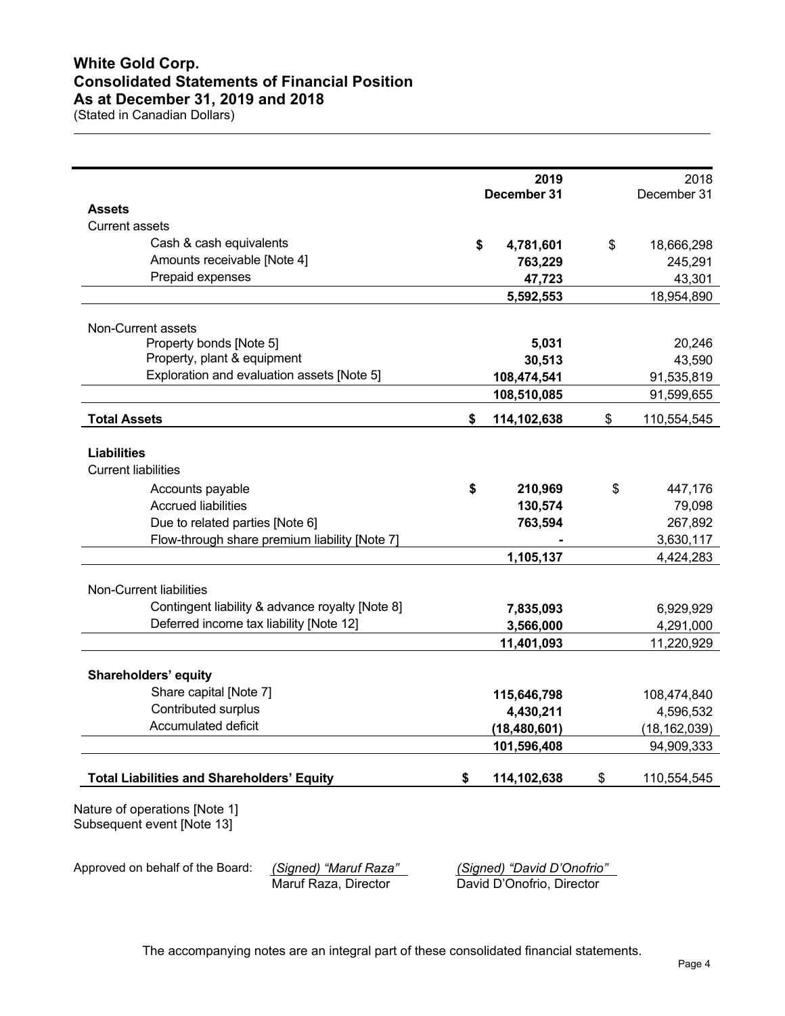# **White Gold Corp. Consolidated Statements of Financial Position As at December 31, 2019 and 2018**

(Stated in Canadian Dollars)

 $\overline{a}$ 

|                                                             | 2019<br>December 31 | 2018<br>December 31    |
|-------------------------------------------------------------|---------------------|------------------------|
| <b>Assets</b>                                               |                     |                        |
| <b>Current assets</b>                                       |                     |                        |
| Cash & cash equivalents                                     | \$<br>4,781,601     | \$<br>18,666,298       |
| Amounts receivable [Note 4]                                 | 763,229             | 245,291                |
| Prepaid expenses                                            | 47,723              | 43,301                 |
|                                                             | 5,592,553           | 18,954,890             |
|                                                             |                     |                        |
| Non-Current assets                                          |                     |                        |
| Property bonds [Note 5]                                     | 5,031               | 20,246                 |
| Property, plant & equipment                                 | 30,513              | 43,590                 |
| Exploration and evaluation assets [Note 5]                  | 108,474,541         | 91,535,819             |
|                                                             | 108,510,085         | 91,599,655             |
| <b>Total Assets</b>                                         | \$<br>114,102,638   | \$<br>110,554,545      |
|                                                             |                     |                        |
| <b>Liabilities</b><br><b>Current liabilities</b>            |                     |                        |
|                                                             |                     |                        |
| Accounts payable                                            | \$<br>210,969       | \$<br>447,176          |
| <b>Accrued liabilities</b>                                  | 130,574             | 79,098                 |
| Due to related parties [Note 6]                             | 763,594             | 267,892                |
| Flow-through share premium liability [Note 7]               |                     | 3,630,117              |
|                                                             | 1,105,137           | 4,424,283              |
| Non-Current liabilities                                     |                     |                        |
| Contingent liability & advance royalty [Note 8]             | 7,835,093           |                        |
| Deferred income tax liability [Note 12]                     | 3,566,000           | 6,929,929<br>4,291,000 |
|                                                             | 11,401,093          | 11,220,929             |
|                                                             |                     |                        |
| <b>Shareholders' equity</b>                                 |                     |                        |
| Share capital [Note 7]                                      | 115,646,798         | 108,474,840            |
| Contributed surplus                                         | 4,430,211           | 4,596,532              |
| Accumulated deficit                                         | (18, 480, 601)      | (18, 162, 039)         |
|                                                             | 101,596,408         | 94,909,333             |
| <b>Total Liabilities and Shareholders' Equity</b>           | \$<br>114,102,638   | \$<br>110,554,545      |
| Nature of operations [Note 1]<br>Subsequent event [Note 13] |                     |                        |

Approved on behalf of the Board: *(Signed) "Maruf Raza" (Signed) "David D'Onofrio"* David D'Onofrio, Director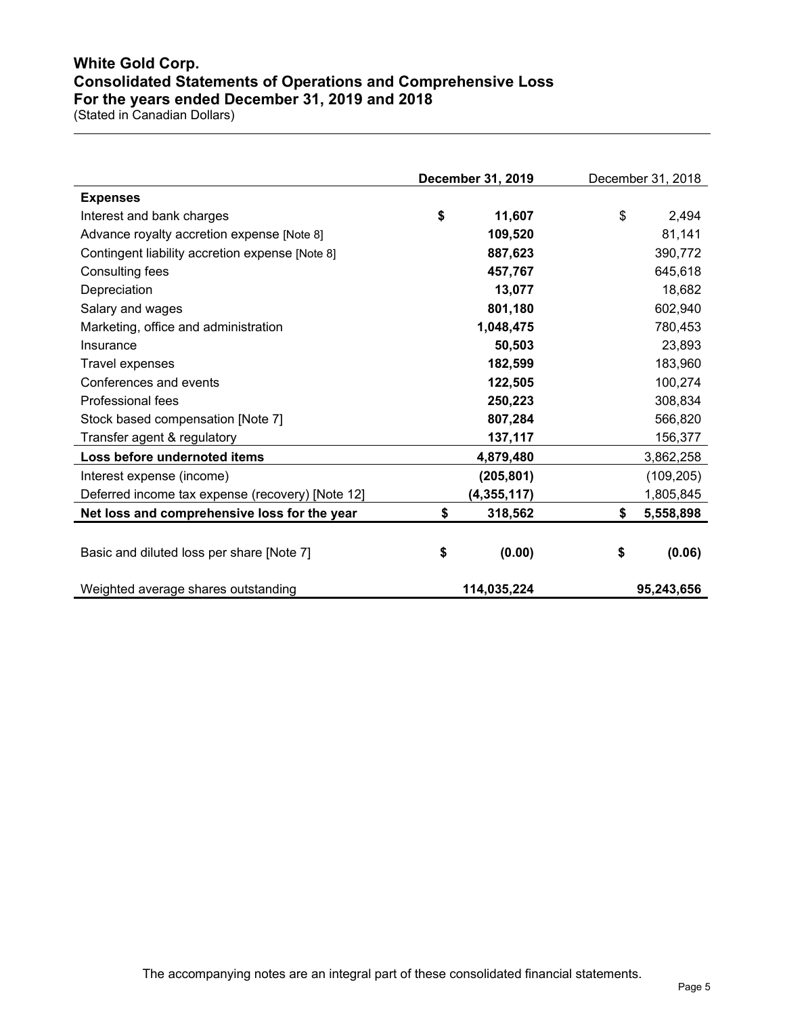# **White Gold Corp. Consolidated Statements of Operations and Comprehensive Loss For the years ended December 31, 2019 and 2018**

|                                                  | December 31, 2019 | December 31, 2018 |
|--------------------------------------------------|-------------------|-------------------|
| <b>Expenses</b>                                  |                   |                   |
| Interest and bank charges                        | \$<br>11,607      | \$<br>2,494       |
| Advance royalty accretion expense [Note 8]       | 109,520           | 81,141            |
| Contingent liability accretion expense [Note 8]  | 887,623           | 390,772           |
| Consulting fees                                  | 457,767           | 645,618           |
| Depreciation                                     | 13,077            | 18,682            |
| Salary and wages                                 | 801,180           | 602,940           |
| Marketing, office and administration             | 1,048,475         | 780,453           |
| Insurance                                        | 50,503            | 23,893            |
| Travel expenses                                  | 182,599           | 183,960           |
| Conferences and events                           | 122,505           | 100,274           |
| Professional fees                                | 250,223           | 308,834           |
| Stock based compensation [Note 7]                | 807,284           | 566,820           |
| Transfer agent & regulatory                      | 137,117           | 156,377           |
| Loss before undernoted items                     | 4,879,480         | 3,862,258         |
| Interest expense (income)                        | (205, 801)        | (109, 205)        |
| Deferred income tax expense (recovery) [Note 12] | (4,355,117)       | 1,805,845         |
| Net loss and comprehensive loss for the year     | \$<br>318,562     | \$<br>5,558,898   |
| Basic and diluted loss per share [Note 7]        | \$<br>(0.00)      | \$<br>(0.06)      |
| Weighted average shares outstanding              | 114,035,224       | 95,243,656        |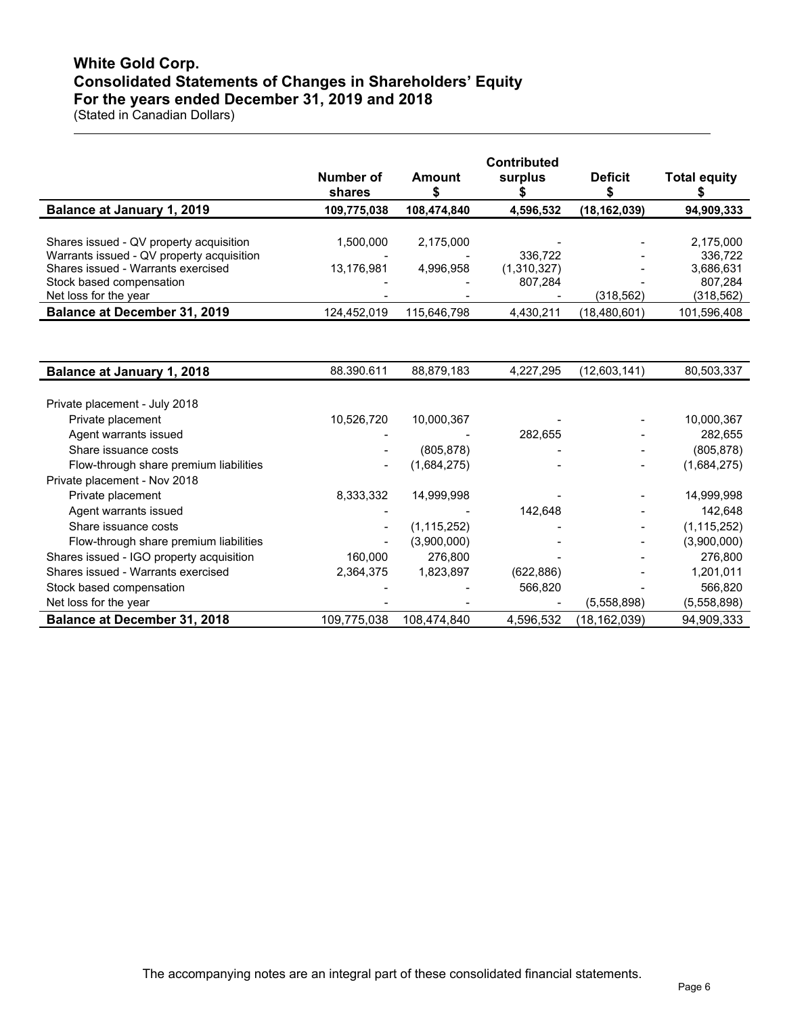# **White Gold Corp. Consolidated Statements of Changes in Shareholders' Equity For the years ended December 31, 2019 and 2018**

|                                           | Number of<br>shares      | Amount      | <b>Contributed</b><br>surplus | <b>Deficit</b> | <b>Total equity</b> |
|-------------------------------------------|--------------------------|-------------|-------------------------------|----------------|---------------------|
| Balance at January 1, 2019                | 109,775,038              | 108,474,840 | 4,596,532                     | (18, 162, 039) | 94,909,333          |
|                                           |                          |             |                               |                |                     |
| Shares issued - QV property acquisition   | 1.500.000                | 2,175,000   |                               |                | 2,175,000           |
| Warrants issued - QV property acquisition | $\overline{\phantom{0}}$ |             | 336.722                       | $\,$           | 336.722             |
| Shares issued - Warrants exercised        | 13,176,981               | 4,996,958   | (1,310,327)                   |                | 3,686,631           |
| Stock based compensation                  | $\overline{\phantom{0}}$ |             | 807.284                       |                | 807,284             |
| Net loss for the year                     | $\,$                     |             |                               | (318,562)      | (318, 562)          |
| <b>Balance at December 31, 2019</b>       | 124,452,019              | 115,646,798 | 4,430,211                     | (18, 480, 601) | 101,596,408         |

| <b>Balance at January 1, 2018</b>        | 88.390.611               | 88,879,183    | 4,227,295  | (12,603,141) | 80,503,337    |
|------------------------------------------|--------------------------|---------------|------------|--------------|---------------|
|                                          |                          |               |            |              |               |
| Private placement - July 2018            |                          |               |            |              |               |
| Private placement                        | 10,526,720               | 10,000,367    |            |              | 10,000,367    |
| Agent warrants issued                    |                          |               | 282.655    |              | 282,655       |
| Share issuance costs                     |                          | (805, 878)    |            |              | (805, 878)    |
| Flow-through share premium liabilities   | $\overline{\phantom{0}}$ | (1,684,275)   |            |              | (1,684,275)   |
| Private placement - Nov 2018             |                          |               |            |              |               |
| Private placement                        | 8,333,332                | 14,999,998    |            |              | 14,999,998    |
| Agent warrants issued                    | $\overline{\phantom{a}}$ |               | 142.648    |              | 142,648       |
| Share issuance costs                     | $\overline{\phantom{a}}$ | (1, 115, 252) |            |              | (1, 115, 252) |
| Flow-through share premium liabilities   | $\overline{\phantom{0}}$ | (3,900,000)   |            |              | (3,900,000)   |
| Shares issued - IGO property acquisition | 160,000                  | 276,800       |            |              | 276,800       |
| Shares issued - Warrants exercised       | 2,364,375                | 1,823,897     | (622, 886) |              | 1,201,011     |
| Stock based compensation                 |                          |               | 566,820    |              | 566,820       |
| Net loss for the year                    |                          |               |            | (5.558.898)  | (5,558,898)   |
| <b>Balance at December 31, 2018</b>      | 109,775,038              | 108.474.840   | 4,596,532  | (18,162,039) | 94,909,333    |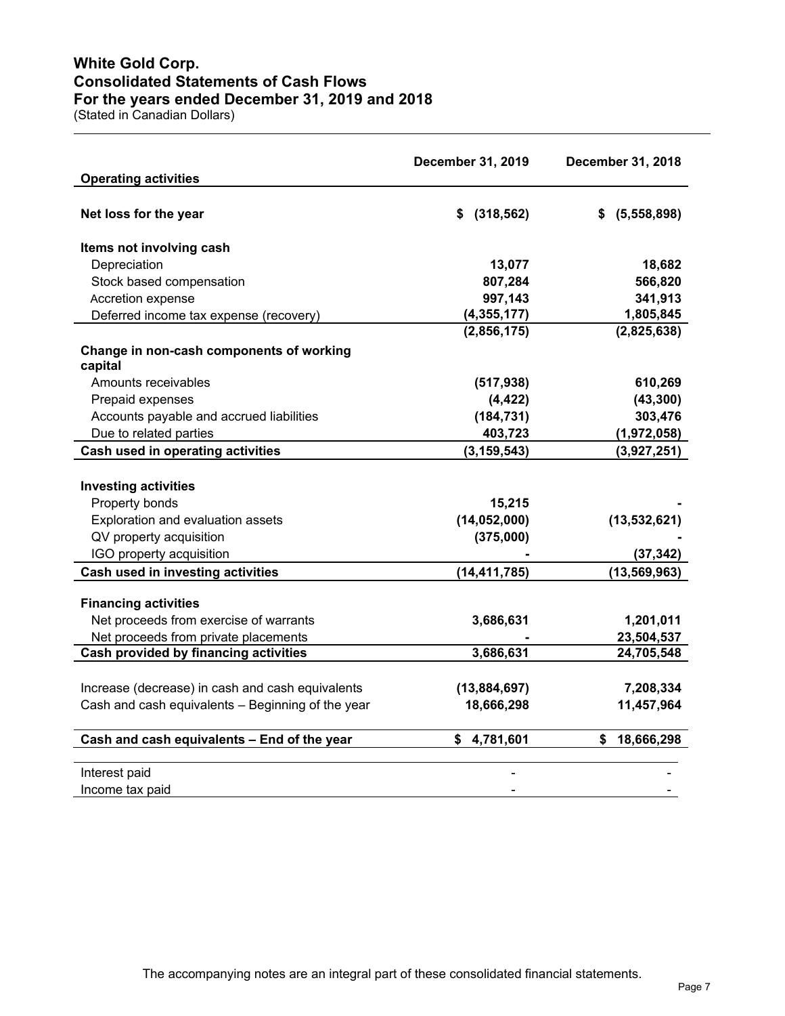# **White Gold Corp. Consolidated Statements of Cash Flows For the years ended December 31, 2019 and 2018**

|                                                   | December 31, 2019 | December 31, 2018 |
|---------------------------------------------------|-------------------|-------------------|
| <b>Operating activities</b>                       |                   |                   |
| Net loss for the year                             | \$ (318, 562)     | \$ (5,558,898)    |
| Items not involving cash                          |                   |                   |
| Depreciation                                      | 13,077            | 18,682            |
| Stock based compensation                          | 807,284           | 566,820           |
| Accretion expense                                 | 997,143           | 341,913           |
| Deferred income tax expense (recovery)            | (4, 355, 177)     | 1,805,845         |
|                                                   | (2,856,175)       | (2,825,638)       |
| Change in non-cash components of working          |                   |                   |
| capital                                           |                   |                   |
| Amounts receivables                               | (517, 938)        | 610,269           |
| Prepaid expenses                                  | (4, 422)          | (43, 300)         |
| Accounts payable and accrued liabilities          | (184, 731)        | 303,476           |
| Due to related parties                            | 403,723           | (1,972,058)       |
| Cash used in operating activities                 | (3, 159, 543)     | (3,927,251)       |
|                                                   |                   |                   |
| <b>Investing activities</b>                       |                   |                   |
| Property bonds                                    | 15,215            |                   |
| Exploration and evaluation assets                 | (14, 052, 000)    | (13,532,621)      |
| QV property acquisition                           | (375,000)         |                   |
| IGO property acquisition                          |                   | (37, 342)         |
| Cash used in investing activities                 | (14, 411, 785)    | (13, 569, 963)    |
| <b>Financing activities</b>                       |                   |                   |
| Net proceeds from exercise of warrants            | 3,686,631         | 1,201,011         |
| Net proceeds from private placements              |                   | 23,504,537        |
| <b>Cash provided by financing activities</b>      | 3,686,631         | 24,705,548        |
|                                                   |                   |                   |
| Increase (decrease) in cash and cash equivalents  | (13,884,697)      | 7,208,334         |
| Cash and cash equivalents - Beginning of the year | 18,666,298        | 11,457,964        |
| Cash and cash equivalents - End of the year       | \$<br>4,781,601   | 18,666,298<br>S.  |
| Interest paid                                     |                   |                   |
| Income tax paid                                   |                   |                   |
|                                                   |                   |                   |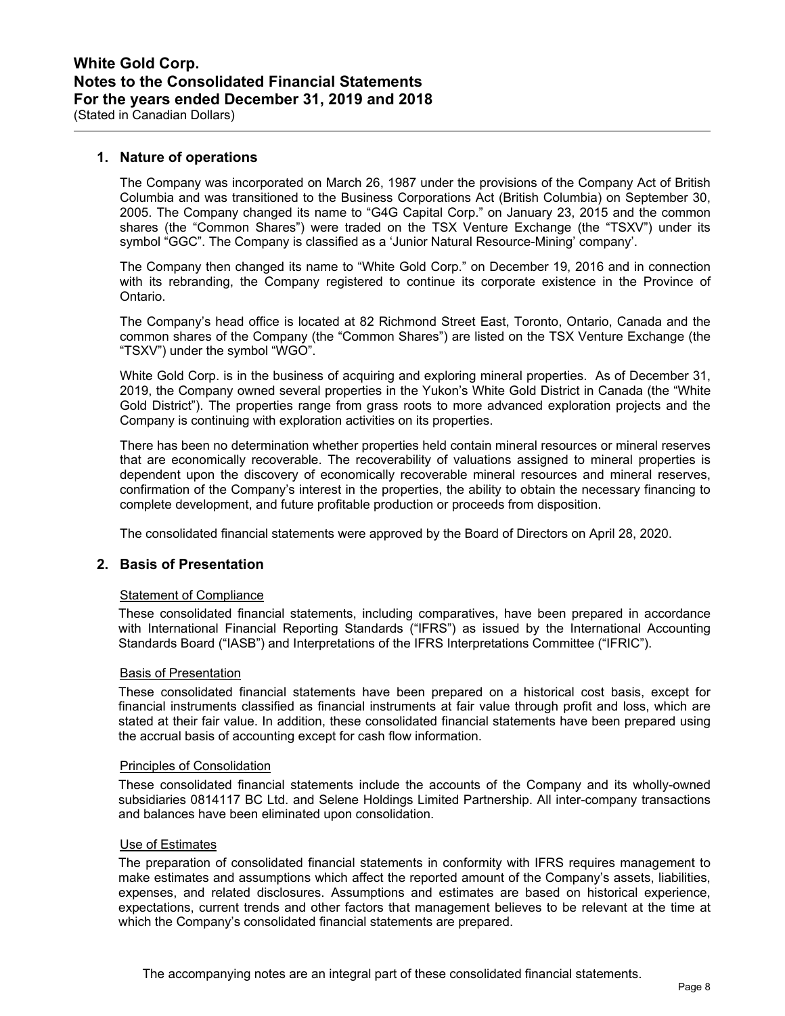## **1. Nature of operations**

The Company was incorporated on March 26, 1987 under the provisions of the Company Act of British Columbia and was transitioned to the Business Corporations Act (British Columbia) on September 30, 2005. The Company changed its name to "G4G Capital Corp." on January 23, 2015 and the common shares (the "Common Shares") were traded on the TSX Venture Exchange (the "TSXV") under its symbol "GGC". The Company is classified as a 'Junior Natural Resource-Mining' company'.

The Company then changed its name to "White Gold Corp." on December 19, 2016 and in connection with its rebranding, the Company registered to continue its corporate existence in the Province of Ontario.

The Company's head office is located at 82 Richmond Street East, Toronto, Ontario, Canada and the common shares of the Company (the "Common Shares") are listed on the TSX Venture Exchange (the "TSXV") under the symbol "WGO".

White Gold Corp. is in the business of acquiring and exploring mineral properties. As of December 31, 2019, the Company owned several properties in the Yukon's White Gold District in Canada (the "White Gold District"). The properties range from grass roots to more advanced exploration projects and the Company is continuing with exploration activities on its properties.

There has been no determination whether properties held contain mineral resources or mineral reserves that are economically recoverable. The recoverability of valuations assigned to mineral properties is dependent upon the discovery of economically recoverable mineral resources and mineral reserves, confirmation of the Company's interest in the properties, the ability to obtain the necessary financing to complete development, and future profitable production or proceeds from disposition.

The consolidated financial statements were approved by the Board of Directors on April 28, 2020.

## **2. Basis of Presentation**

#### Statement of Compliance

These consolidated financial statements, including comparatives, have been prepared in accordance with International Financial Reporting Standards ("IFRS") as issued by the International Accounting Standards Board ("IASB") and Interpretations of the IFRS Interpretations Committee ("IFRIC").

#### Basis of Presentation

These consolidated financial statements have been prepared on a historical cost basis, except for financial instruments classified as financial instruments at fair value through profit and loss, which are stated at their fair value. In addition, these consolidated financial statements have been prepared using the accrual basis of accounting except for cash flow information.

### Principles of Consolidation

These consolidated financial statements include the accounts of the Company and its wholly-owned subsidiaries 0814117 BC Ltd. and Selene Holdings Limited Partnership. All inter-company transactions and balances have been eliminated upon consolidation.

#### Use of Estimates

The preparation of consolidated financial statements in conformity with IFRS requires management to make estimates and assumptions which affect the reported amount of the Company's assets, liabilities, expenses, and related disclosures. Assumptions and estimates are based on historical experience, expectations, current trends and other factors that management believes to be relevant at the time at which the Company's consolidated financial statements are prepared.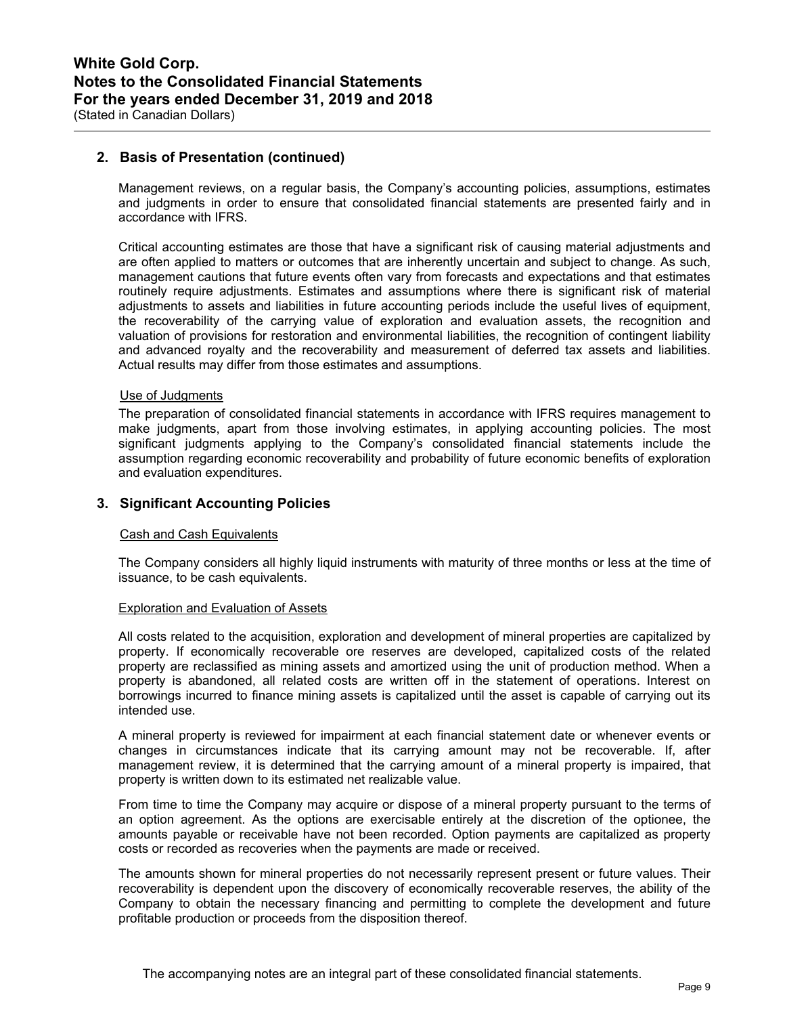## **2. Basis of Presentation (continued)**

Management reviews, on a regular basis, the Company's accounting policies, assumptions, estimates and judgments in order to ensure that consolidated financial statements are presented fairly and in accordance with IFRS.

Critical accounting estimates are those that have a significant risk of causing material adjustments and are often applied to matters or outcomes that are inherently uncertain and subject to change. As such, management cautions that future events often vary from forecasts and expectations and that estimates routinely require adjustments. Estimates and assumptions where there is significant risk of material adjustments to assets and liabilities in future accounting periods include the useful lives of equipment, the recoverability of the carrying value of exploration and evaluation assets, the recognition and valuation of provisions for restoration and environmental liabilities, the recognition of contingent liability and advanced royalty and the recoverability and measurement of deferred tax assets and liabilities. Actual results may differ from those estimates and assumptions.

### Use of Judgments

The preparation of consolidated financial statements in accordance with IFRS requires management to make judgments, apart from those involving estimates, in applying accounting policies. The most significant judgments applying to the Company's consolidated financial statements include the assumption regarding economic recoverability and probability of future economic benefits of exploration and evaluation expenditures.

## **3. Significant Accounting Policies**

#### Cash and Cash Equivalents

The Company considers all highly liquid instruments with maturity of three months or less at the time of issuance, to be cash equivalents.

#### Exploration and Evaluation of Assets

All costs related to the acquisition, exploration and development of mineral properties are capitalized by property. If economically recoverable ore reserves are developed, capitalized costs of the related property are reclassified as mining assets and amortized using the unit of production method. When a property is abandoned, all related costs are written off in the statement of operations. Interest on borrowings incurred to finance mining assets is capitalized until the asset is capable of carrying out its intended use.

A mineral property is reviewed for impairment at each financial statement date or whenever events or changes in circumstances indicate that its carrying amount may not be recoverable. If, after management review, it is determined that the carrying amount of a mineral property is impaired, that property is written down to its estimated net realizable value.

From time to time the Company may acquire or dispose of a mineral property pursuant to the terms of an option agreement. As the options are exercisable entirely at the discretion of the optionee, the amounts payable or receivable have not been recorded. Option payments are capitalized as property costs or recorded as recoveries when the payments are made or received.

The amounts shown for mineral properties do not necessarily represent present or future values. Their recoverability is dependent upon the discovery of economically recoverable reserves, the ability of the Company to obtain the necessary financing and permitting to complete the development and future profitable production or proceeds from the disposition thereof.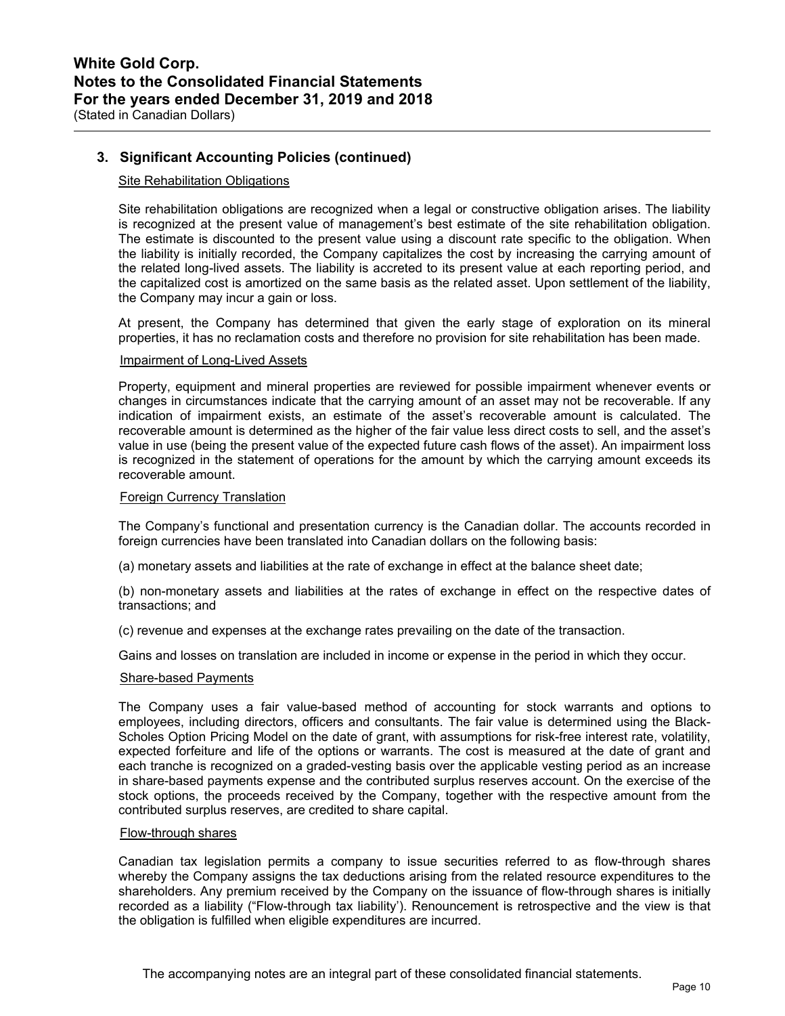## **3. Significant Accounting Policies (continued)**

## Site Rehabilitation Obligations

Site rehabilitation obligations are recognized when a legal or constructive obligation arises. The liability is recognized at the present value of management's best estimate of the site rehabilitation obligation. The estimate is discounted to the present value using a discount rate specific to the obligation. When the liability is initially recorded, the Company capitalizes the cost by increasing the carrying amount of the related long-lived assets. The liability is accreted to its present value at each reporting period, and the capitalized cost is amortized on the same basis as the related asset. Upon settlement of the liability, the Company may incur a gain or loss.

At present, the Company has determined that given the early stage of exploration on its mineral properties, it has no reclamation costs and therefore no provision for site rehabilitation has been made.

### Impairment of Long-Lived Assets

Property, equipment and mineral properties are reviewed for possible impairment whenever events or changes in circumstances indicate that the carrying amount of an asset may not be recoverable. If any indication of impairment exists, an estimate of the asset's recoverable amount is calculated. The recoverable amount is determined as the higher of the fair value less direct costs to sell, and the asset's value in use (being the present value of the expected future cash flows of the asset). An impairment loss is recognized in the statement of operations for the amount by which the carrying amount exceeds its recoverable amount.

#### Foreign Currency Translation

The Company's functional and presentation currency is the Canadian dollar. The accounts recorded in foreign currencies have been translated into Canadian dollars on the following basis:

(a) monetary assets and liabilities at the rate of exchange in effect at the balance sheet date;

(b) non-monetary assets and liabilities at the rates of exchange in effect on the respective dates of transactions; and

(c) revenue and expenses at the exchange rates prevailing on the date of the transaction.

Gains and losses on translation are included in income or expense in the period in which they occur.

### Share-based Payments

The Company uses a fair value-based method of accounting for stock warrants and options to employees, including directors, officers and consultants. The fair value is determined using the Black-Scholes Option Pricing Model on the date of grant, with assumptions for risk-free interest rate, volatility, expected forfeiture and life of the options or warrants. The cost is measured at the date of grant and each tranche is recognized on a graded-vesting basis over the applicable vesting period as an increase in share-based payments expense and the contributed surplus reserves account. On the exercise of the stock options, the proceeds received by the Company, together with the respective amount from the contributed surplus reserves, are credited to share capital.

#### Flow-through shares

Canadian tax legislation permits a company to issue securities referred to as flow-through shares whereby the Company assigns the tax deductions arising from the related resource expenditures to the shareholders. Any premium received by the Company on the issuance of flow-through shares is initially recorded as a liability ("Flow-through tax liability'). Renouncement is retrospective and the view is that the obligation is fulfilled when eligible expenditures are incurred.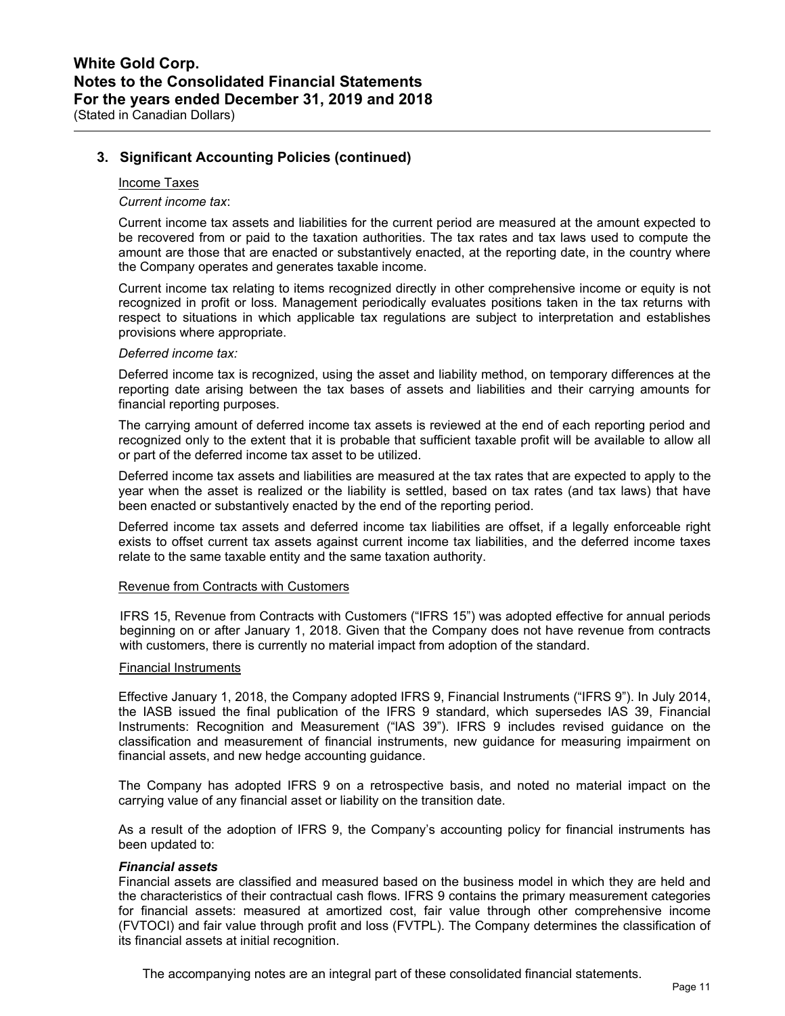## **3. Significant Accounting Policies (continued)**

#### Income Taxes

*Current income tax*:

Current income tax assets and liabilities for the current period are measured at the amount expected to be recovered from or paid to the taxation authorities. The tax rates and tax laws used to compute the amount are those that are enacted or substantively enacted, at the reporting date, in the country where the Company operates and generates taxable income.

Current income tax relating to items recognized directly in other comprehensive income or equity is not recognized in profit or loss. Management periodically evaluates positions taken in the tax returns with respect to situations in which applicable tax regulations are subject to interpretation and establishes provisions where appropriate.

### *Deferred income tax:*

Deferred income tax is recognized, using the asset and liability method, on temporary differences at the reporting date arising between the tax bases of assets and liabilities and their carrying amounts for financial reporting purposes.

The carrying amount of deferred income tax assets is reviewed at the end of each reporting period and recognized only to the extent that it is probable that sufficient taxable profit will be available to allow all or part of the deferred income tax asset to be utilized.

Deferred income tax assets and liabilities are measured at the tax rates that are expected to apply to the year when the asset is realized or the liability is settled, based on tax rates (and tax laws) that have been enacted or substantively enacted by the end of the reporting period.

Deferred income tax assets and deferred income tax liabilities are offset, if a legally enforceable right exists to offset current tax assets against current income tax liabilities, and the deferred income taxes relate to the same taxable entity and the same taxation authority.

#### Revenue from Contracts with Customers

IFRS 15, Revenue from Contracts with Customers ("IFRS 15") was adopted effective for annual periods beginning on or after January 1, 2018. Given that the Company does not have revenue from contracts with customers, there is currently no material impact from adoption of the standard.

#### Financial Instruments

Effective January 1, 2018, the Company adopted IFRS 9, Financial Instruments ("IFRS 9"). In July 2014, the IASB issued the final publication of the IFRS 9 standard, which supersedes lAS 39, Financial Instruments: Recognition and Measurement ("lAS 39"). IFRS 9 includes revised guidance on the classification and measurement of financial instruments, new guidance for measuring impairment on financial assets, and new hedge accounting guidance.

The Company has adopted IFRS 9 on a retrospective basis, and noted no material impact on the carrying value of any financial asset or liability on the transition date.

As a result of the adoption of IFRS 9, the Company's accounting policy for financial instruments has been updated to:

### *Financial assets*

Financial assets are classified and measured based on the business model in which they are held and the characteristics of their contractual cash flows. IFRS 9 contains the primary measurement categories for financial assets: measured at amortized cost, fair value through other comprehensive income (FVTOCI) and fair value through profit and loss (FVTPL). The Company determines the classification of its financial assets at initial recognition.

The accompanying notes are an integral part of these consolidated financial statements.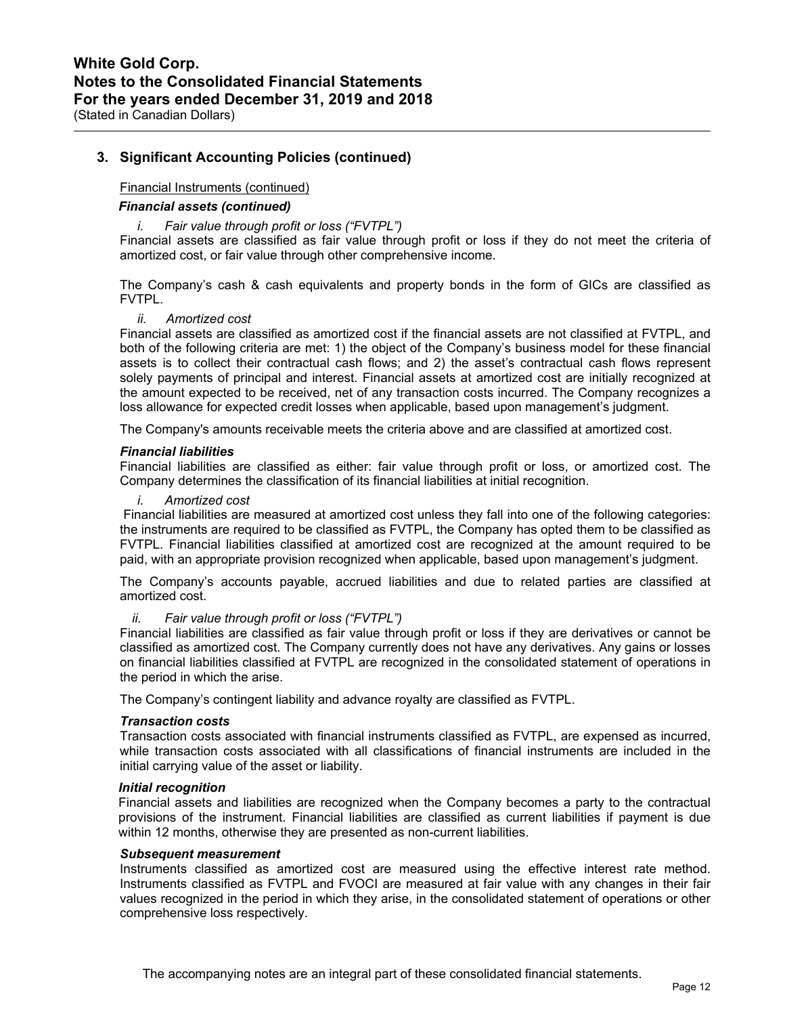## **3. Significant Accounting Policies (continued)**

### Financial Instruments (continued)

### *Financial assets (continued)*

### *i. Fair value through profit or loss ("FVTPL")*

Financial assets are classified as fair value through profit or loss if they do not meet the criteria of amortized cost, or fair value through other comprehensive income.

The Company's cash & cash equivalents and property bonds in the form of GICs are classified as FVTPL.

## *ii. Amortized cost*

Financial assets are classified as amortized cost if the financial assets are not classified at FVTPL, and both of the following criteria are met: 1) the object of the Company's business model for these financial assets is to collect their contractual cash flows; and 2) the asset's contractual cash flows represent solely payments of principal and interest. Financial assets at amortized cost are initially recognized at the amount expected to be received, net of any transaction costs incurred. The Company recognizes a loss allowance for expected credit losses when applicable, based upon management's judgment.

The Company's amounts receivable meets the criteria above and are classified at amortized cost.

#### *Financial liabilities*

Financial liabilities are classified as either: fair value through profit or loss, or amortized cost. The Company determines the classification of its financial liabilities at initial recognition.

*i. Amortized cost* 

 Financial liabilities are measured at amortized cost unless they fall into one of the following categories: the instruments are required to be classified as FVTPL, the Company has opted them to be classified as FVTPL. Financial liabilities classified at amortized cost are recognized at the amount required to be paid, with an appropriate provision recognized when applicable, based upon management's judgment.

The Company's accounts payable, accrued liabilities and due to related parties are classified at amortized cost.

### *ii. Fair value through profit or loss ("FVTPL")*

Financial liabilities are classified as fair value through profit or loss if they are derivatives or cannot be classified as amortized cost. The Company currently does not have any derivatives. Any gains or losses on financial liabilities classified at FVTPL are recognized in the consolidated statement of operations in the period in which the arise.

The Company's contingent liability and advance royalty are classified as FVTPL.

### *Transaction costs*

Transaction costs associated with financial instruments classified as FVTPL, are expensed as incurred, while transaction costs associated with all classifications of financial instruments are included in the initial carrying value of the asset or liability.

#### *Initial recognition*

Financial assets and liabilities are recognized when the Company becomes a party to the contractual provisions of the instrument. Financial liabilities are classified as current liabilities if payment is due within 12 months, otherwise they are presented as non-current liabilities.

## *Subsequent measurement*

Instruments classified as amortized cost are measured using the effective interest rate method. Instruments classified as FVTPL and FVOCI are measured at fair value with any changes in their fair values recognized in the period in which they arise, in the consolidated statement of operations or other comprehensive loss respectively.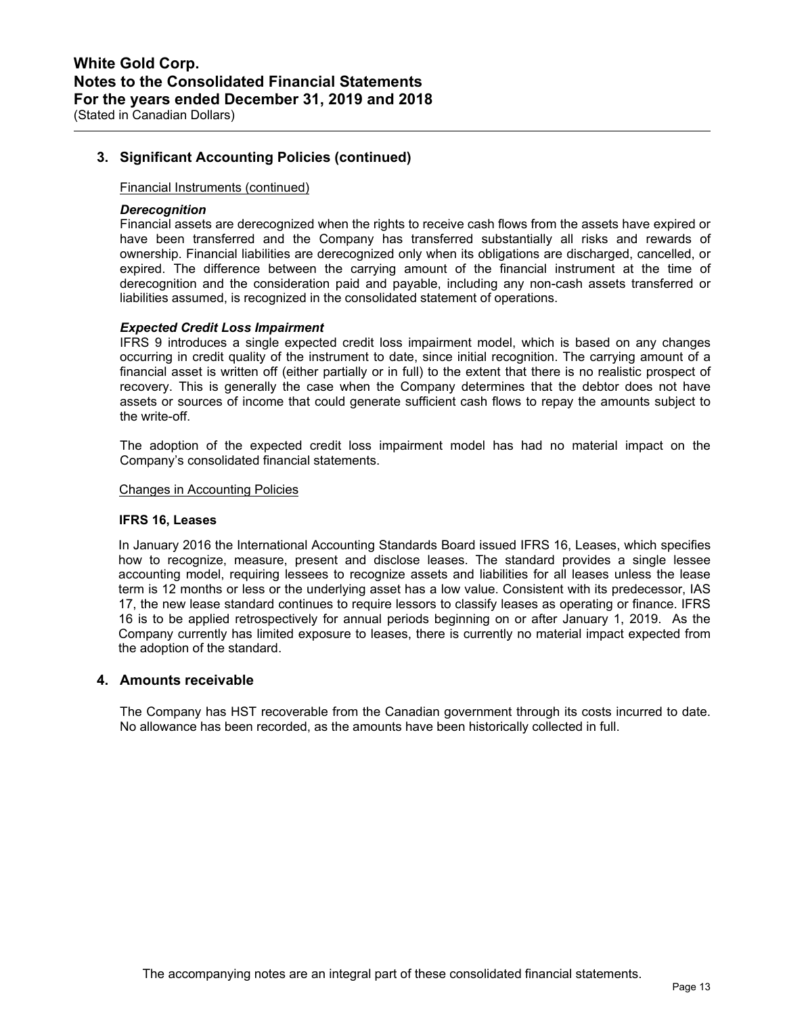## **3. Significant Accounting Policies (continued)**

### Financial Instruments (continued)

### *Derecognition*

Financial assets are derecognized when the rights to receive cash flows from the assets have expired or have been transferred and the Company has transferred substantially all risks and rewards of ownership. Financial liabilities are derecognized only when its obligations are discharged, cancelled, or expired. The difference between the carrying amount of the financial instrument at the time of derecognition and the consideration paid and payable, including any non-cash assets transferred or liabilities assumed, is recognized in the consolidated statement of operations.

### *Expected Credit Loss Impairment*

IFRS 9 introduces a single expected credit loss impairment model, which is based on any changes occurring in credit quality of the instrument to date, since initial recognition. The carrying amount of a financial asset is written off (either partially or in full) to the extent that there is no realistic prospect of recovery. This is generally the case when the Company determines that the debtor does not have assets or sources of income that could generate sufficient cash flows to repay the amounts subject to the write-off.

The adoption of the expected credit loss impairment model has had no material impact on the Company's consolidated financial statements.

#### Changes in Accounting Policies

#### **IFRS 16, Leases**

In January 2016 the International Accounting Standards Board issued IFRS 16, Leases, which specifies how to recognize, measure, present and disclose leases. The standard provides a single lessee accounting model, requiring lessees to recognize assets and liabilities for all leases unless the lease term is 12 months or less or the underlying asset has a low value. Consistent with its predecessor, IAS 17, the new lease standard continues to require lessors to classify leases as operating or finance. IFRS 16 is to be applied retrospectively for annual periods beginning on or after January 1, 2019. As the Company currently has limited exposure to leases, there is currently no material impact expected from the adoption of the standard.

## **4. Amounts receivable**

The Company has HST recoverable from the Canadian government through its costs incurred to date. No allowance has been recorded, as the amounts have been historically collected in full.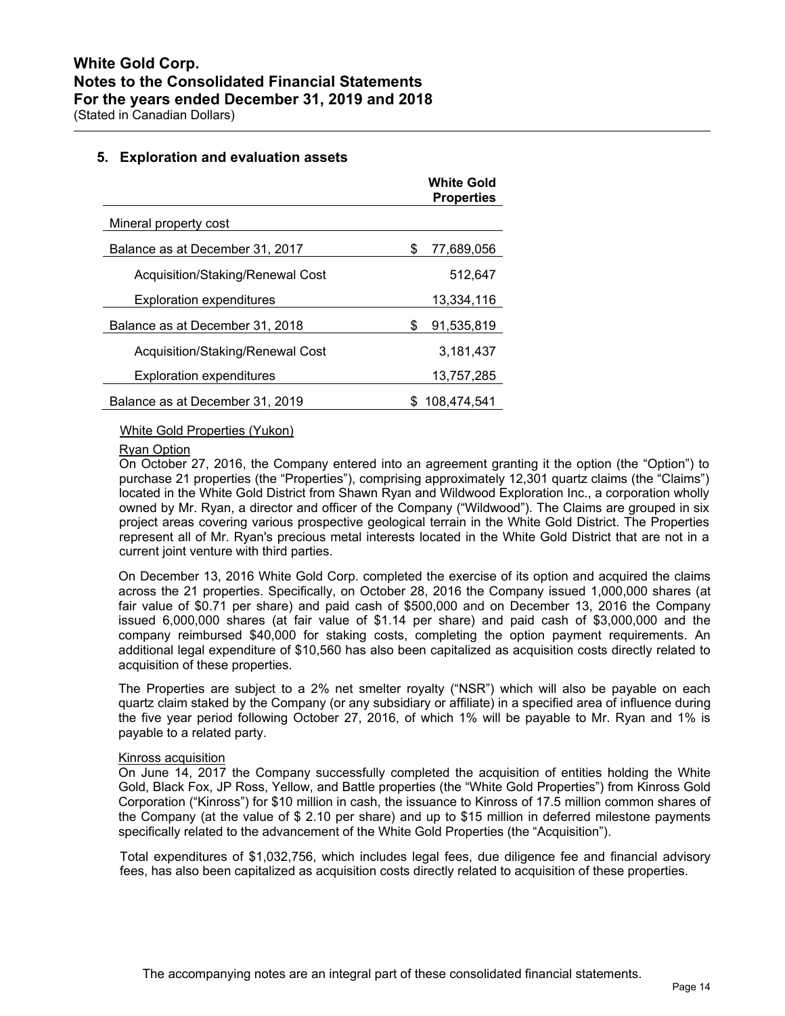## **5. Exploration and evaluation assets**

|                                  |   | <b>White Gold</b><br><b>Properties</b> |
|----------------------------------|---|----------------------------------------|
| Mineral property cost            |   |                                        |
| Balance as at December 31, 2017  | S | 77,689,056                             |
| Acquisition/Staking/Renewal Cost |   | 512,647                                |
| <b>Exploration expenditures</b>  |   | 13,334,116                             |
| Balance as at December 31, 2018  | S | 91,535,819                             |
| Acquisition/Staking/Renewal Cost |   | 3,181,437                              |
| <b>Exploration expenditures</b>  |   | 13.757.285                             |
| Balance as at December 31, 2019  |   | 108.474.541                            |

## White Gold Properties (Yukon)

#### Ryan Option

On October 27, 2016, the Company entered into an agreement granting it the option (the "Option") to purchase 21 properties (the "Properties"), comprising approximately 12,301 quartz claims (the "Claims") located in the White Gold District from Shawn Ryan and Wildwood Exploration Inc., a corporation wholly owned by Mr. Ryan, a director and officer of the Company ("Wildwood"). The Claims are grouped in six project areas covering various prospective geological terrain in the White Gold District. The Properties represent all of Mr. Ryan's precious metal interests located in the White Gold District that are not in a current joint venture with third parties.

On December 13, 2016 White Gold Corp. completed the exercise of its option and acquired the claims across the 21 properties. Specifically, on October 28, 2016 the Company issued 1,000,000 shares (at fair value of \$0.71 per share) and paid cash of \$500,000 and on December 13, 2016 the Company issued 6,000,000 shares (at fair value of \$1.14 per share) and paid cash of \$3,000,000 and the company reimbursed \$40,000 for staking costs, completing the option payment requirements. An additional legal expenditure of \$10,560 has also been capitalized as acquisition costs directly related to acquisition of these properties.

The Properties are subject to a 2% net smelter royalty ("NSR") which will also be payable on each quartz claim staked by the Company (or any subsidiary or affiliate) in a specified area of influence during the five year period following October 27, 2016, of which 1% will be payable to Mr. Ryan and 1% is payable to a related party.

#### Kinross acquisition

On June 14, 2017 the Company successfully completed the acquisition of entities holding the White Gold, Black Fox, JP Ross, Yellow, and Battle properties (the "White Gold Properties") from Kinross Gold Corporation ("Kinross") for \$10 million in cash, the issuance to Kinross of 17.5 million common shares of the Company (at the value of \$ 2.10 per share) and up to \$15 million in deferred milestone payments specifically related to the advancement of the White Gold Properties (the "Acquisition").

Total expenditures of \$1,032,756, which includes legal fees, due diligence fee and financial advisory fees, has also been capitalized as acquisition costs directly related to acquisition of these properties.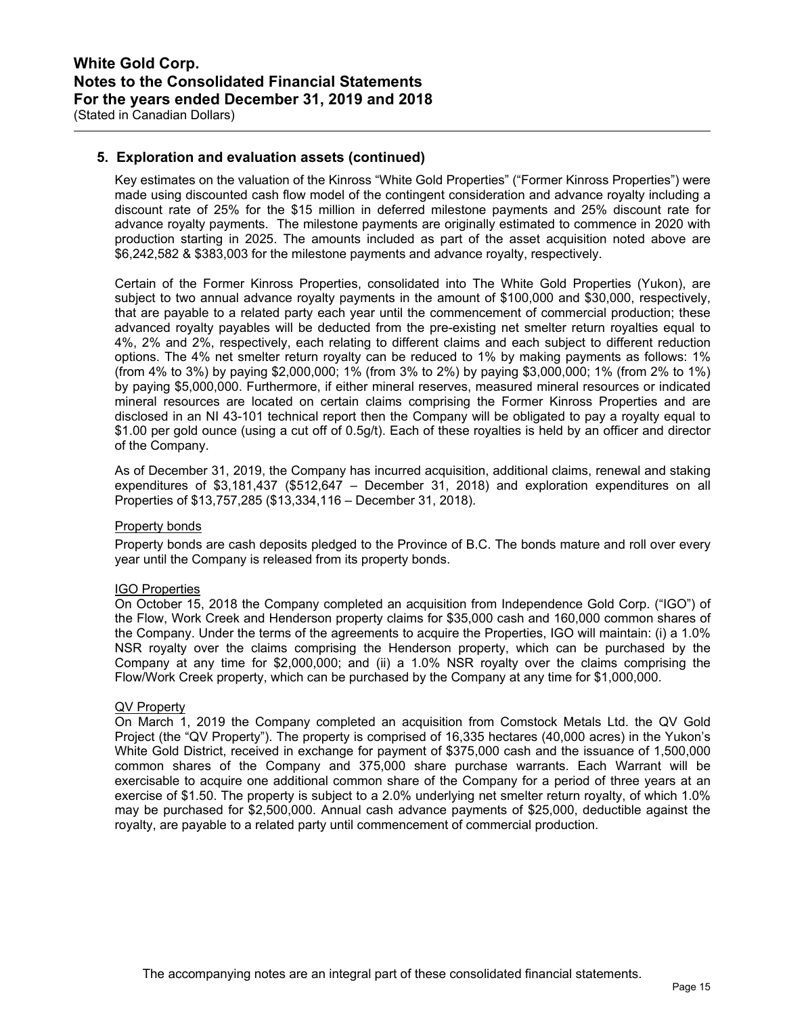## **5. Exploration and evaluation assets (continued)**

Key estimates on the valuation of the Kinross "White Gold Properties" ("Former Kinross Properties") were made using discounted cash flow model of the contingent consideration and advance royalty including a discount rate of 25% for the \$15 million in deferred milestone payments and 25% discount rate for advance royalty payments. The milestone payments are originally estimated to commence in 2020 with production starting in 2025. The amounts included as part of the asset acquisition noted above are \$6,242,582 & \$383,003 for the milestone payments and advance royalty, respectively.

Certain of the Former Kinross Properties, consolidated into The White Gold Properties (Yukon), are subject to two annual advance royalty payments in the amount of \$100,000 and \$30,000, respectively, that are payable to a related party each year until the commencement of commercial production; these advanced royalty payables will be deducted from the pre-existing net smelter return royalties equal to 4%, 2% and 2%, respectively, each relating to different claims and each subject to different reduction options. The 4% net smelter return royalty can be reduced to 1% by making payments as follows: 1% (from 4% to 3%) by paying \$2,000,000; 1% (from 3% to 2%) by paying \$3,000,000; 1% (from 2% to 1%) by paying \$5,000,000. Furthermore, if either mineral reserves, measured mineral resources or indicated mineral resources are located on certain claims comprising the Former Kinross Properties and are disclosed in an NI 43-101 technical report then the Company will be obligated to pay a royalty equal to \$1.00 per gold ounce (using a cut off of 0.5g/t). Each of these royalties is held by an officer and director of the Company.

As of December 31, 2019, the Company has incurred acquisition, additional claims, renewal and staking expenditures of \$3,181,437 (\$512,647 – December 31, 2018) and exploration expenditures on all Properties of \$13,757,285 (\$13,334,116 – December 31, 2018).

## Property bonds

Property bonds are cash deposits pledged to the Province of B.C. The bonds mature and roll over every year until the Company is released from its property bonds.

## IGO Properties

On October 15, 2018 the Company completed an acquisition from Independence Gold Corp. ("IGO") of the Flow, Work Creek and Henderson property claims for \$35,000 cash and 160,000 common shares of the Company. Under the terms of the agreements to acquire the Properties, IGO will maintain: (i) a 1.0% NSR royalty over the claims comprising the Henderson property, which can be purchased by the Company at any time for \$2,000,000; and (ii) a 1.0% NSR royalty over the claims comprising the Flow/Work Creek property, which can be purchased by the Company at any time for \$1,000,000.

## QV Property

On March 1, 2019 the Company completed an acquisition from Comstock Metals Ltd. the QV Gold Project (the "QV Property"). The property is comprised of 16,335 hectares (40,000 acres) in the Yukon's White Gold District, received in exchange for payment of \$375,000 cash and the issuance of 1,500,000 common shares of the Company and 375,000 share purchase warrants. Each Warrant will be exercisable to acquire one additional common share of the Company for a period of three years at an exercise of \$1.50. The property is subject to a 2.0% underlying net smelter return royalty, of which 1.0% may be purchased for \$2,500,000. Annual cash advance payments of \$25,000, deductible against the royalty, are payable to a related party until commencement of commercial production.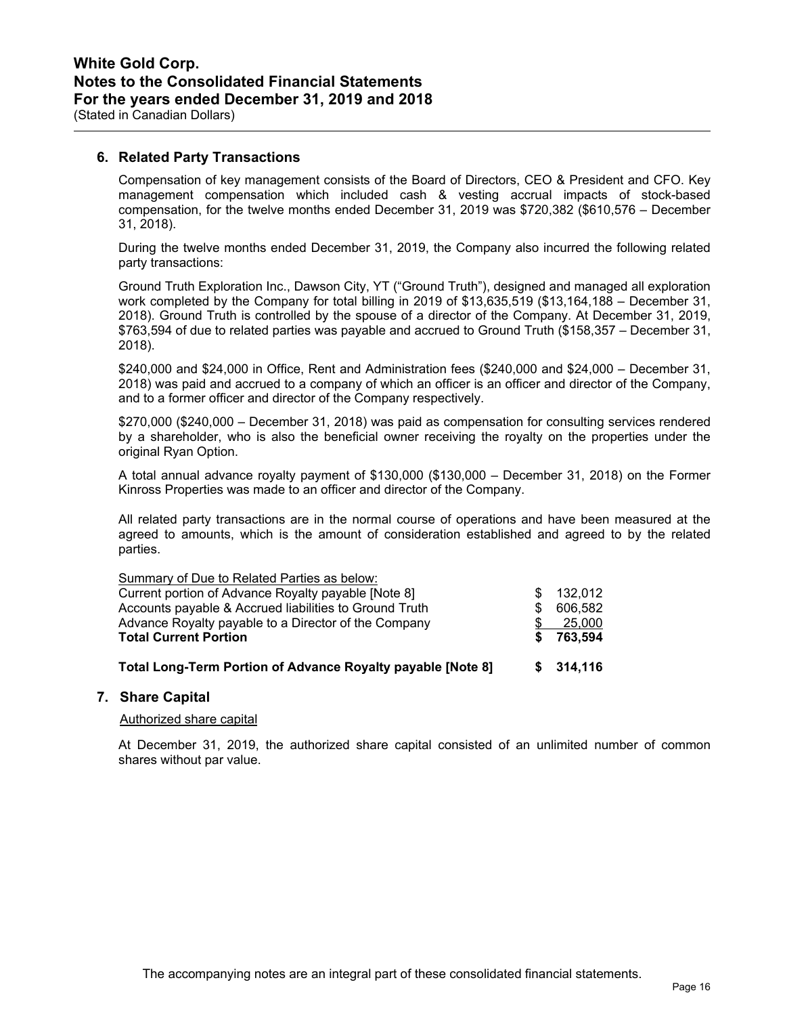## **6. Related Party Transactions**

Compensation of key management consists of the Board of Directors, CEO & President and CFO. Key management compensation which included cash & vesting accrual impacts of stock-based compensation, for the twelve months ended December 31, 2019 was \$720,382 (\$610,576 – December 31, 2018).

During the twelve months ended December 31, 2019, the Company also incurred the following related party transactions:

Ground Truth Exploration Inc., Dawson City, YT ("Ground Truth"), designed and managed all exploration work completed by the Company for total billing in 2019 of \$13,635,519 (\$13,164,188 – December 31, 2018). Ground Truth is controlled by the spouse of a director of the Company. At December 31, 2019, \$763,594 of due to related parties was payable and accrued to Ground Truth (\$158,357 – December 31, 2018).

\$240,000 and \$24,000 in Office, Rent and Administration fees (\$240,000 and \$24,000 – December 31, 2018) was paid and accrued to a company of which an officer is an officer and director of the Company, and to a former officer and director of the Company respectively.

\$270,000 (\$240,000 – December 31, 2018) was paid as compensation for consulting services rendered by a shareholder, who is also the beneficial owner receiving the royalty on the properties under the original Ryan Option.

A total annual advance royalty payment of \$130,000 (\$130,000 – December 31, 2018) on the Former Kinross Properties was made to an officer and director of the Company.

All related party transactions are in the normal course of operations and have been measured at the agreed to amounts, which is the amount of consideration established and agreed to by the related parties.

| Total Long-Term Portion of Advance Royalty payable [Note 8] |     | \$314,116 |
|-------------------------------------------------------------|-----|-----------|
| <b>Total Current Portion</b>                                | S.  | 763.594   |
| Advance Royalty payable to a Director of the Company        |     | 25,000    |
| Accounts payable & Accrued liabilities to Ground Truth      | \$. | 606,582   |
| Current portion of Advance Royalty payable [Note 8]         | SS. | 132,012   |
| Summary of Due to Related Parties as below:                 |     |           |

## **7. Share Capital**

## Authorized share capital

At December 31, 2019, the authorized share capital consisted of an unlimited number of common shares without par value.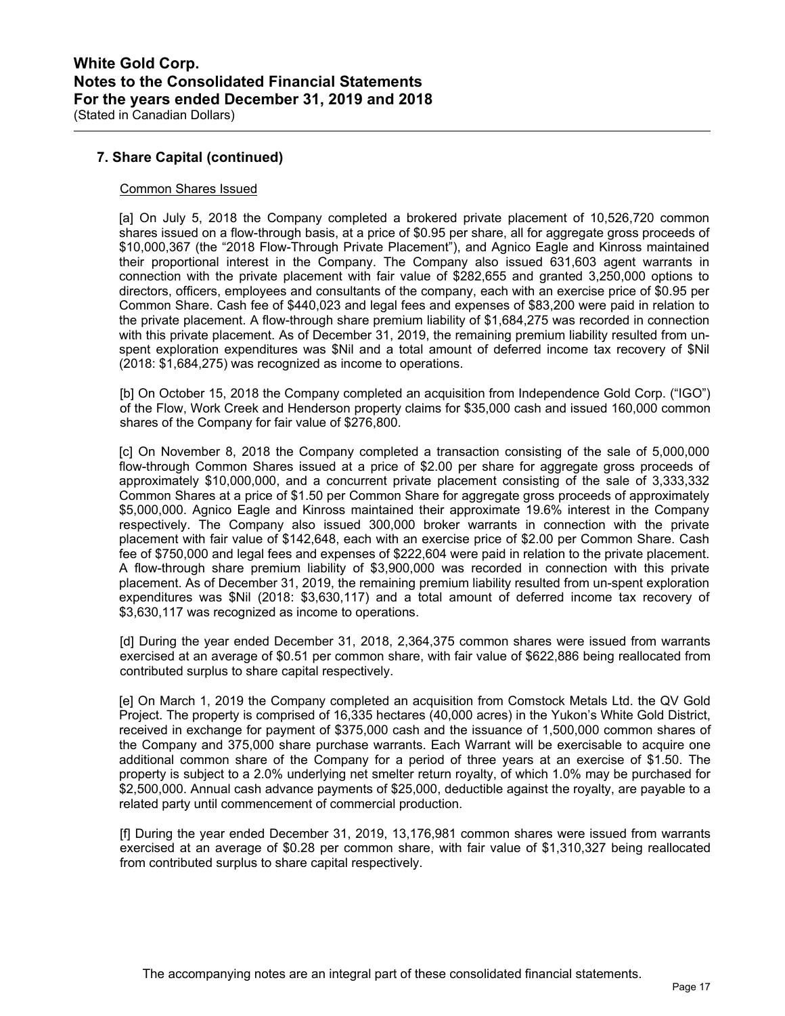## **7. Share Capital (continued)**

## Common Shares Issued

[a] On July 5, 2018 the Company completed a brokered private placement of 10,526,720 common shares issued on a flow-through basis, at a price of \$0.95 per share, all for aggregate gross proceeds of \$10,000,367 (the "2018 Flow-Through Private Placement"), and Agnico Eagle and Kinross maintained their proportional interest in the Company. The Company also issued 631,603 agent warrants in connection with the private placement with fair value of \$282,655 and granted 3,250,000 options to directors, officers, employees and consultants of the company, each with an exercise price of \$0.95 per Common Share. Cash fee of \$440,023 and legal fees and expenses of \$83,200 were paid in relation to the private placement. A flow-through share premium liability of \$1,684,275 was recorded in connection with this private placement. As of December 31, 2019, the remaining premium liability resulted from unspent exploration expenditures was \$Nil and a total amount of deferred income tax recovery of \$Nil (2018: \$1,684,275) was recognized as income to operations.

[b] On October 15, 2018 the Company completed an acquisition from Independence Gold Corp. ("IGO") of the Flow, Work Creek and Henderson property claims for \$35,000 cash and issued 160,000 common shares of the Company for fair value of \$276,800.

[c] On November 8, 2018 the Company completed a transaction consisting of the sale of 5,000,000 flow-through Common Shares issued at a price of \$2.00 per share for aggregate gross proceeds of approximately \$10,000,000, and a concurrent private placement consisting of the sale of 3,333,332 Common Shares at a price of \$1.50 per Common Share for aggregate gross proceeds of approximately \$5,000,000. Agnico Eagle and Kinross maintained their approximate 19.6% interest in the Company respectively. The Company also issued 300,000 broker warrants in connection with the private placement with fair value of \$142,648, each with an exercise price of \$2.00 per Common Share. Cash fee of \$750,000 and legal fees and expenses of \$222,604 were paid in relation to the private placement. A flow-through share premium liability of \$3,900,000 was recorded in connection with this private placement. As of December 31, 2019, the remaining premium liability resulted from un-spent exploration expenditures was \$Nil (2018: \$3,630,117) and a total amount of deferred income tax recovery of \$3,630,117 was recognized as income to operations.

[d] During the year ended December 31, 2018, 2,364,375 common shares were issued from warrants exercised at an average of \$0.51 per common share, with fair value of \$622,886 being reallocated from contributed surplus to share capital respectively.

[e] On March 1, 2019 the Company completed an acquisition from Comstock Metals Ltd. the QV Gold Project. The property is comprised of 16,335 hectares (40,000 acres) in the Yukon's White Gold District, received in exchange for payment of \$375,000 cash and the issuance of 1,500,000 common shares of the Company and 375,000 share purchase warrants. Each Warrant will be exercisable to acquire one additional common share of the Company for a period of three years at an exercise of \$1.50. The property is subject to a 2.0% underlying net smelter return royalty, of which 1.0% may be purchased for \$2,500,000. Annual cash advance payments of \$25,000, deductible against the royalty, are payable to a related party until commencement of commercial production.

[f] During the year ended December 31, 2019, 13,176,981 common shares were issued from warrants exercised at an average of \$0.28 per common share, with fair value of \$1,310,327 being reallocated from contributed surplus to share capital respectively.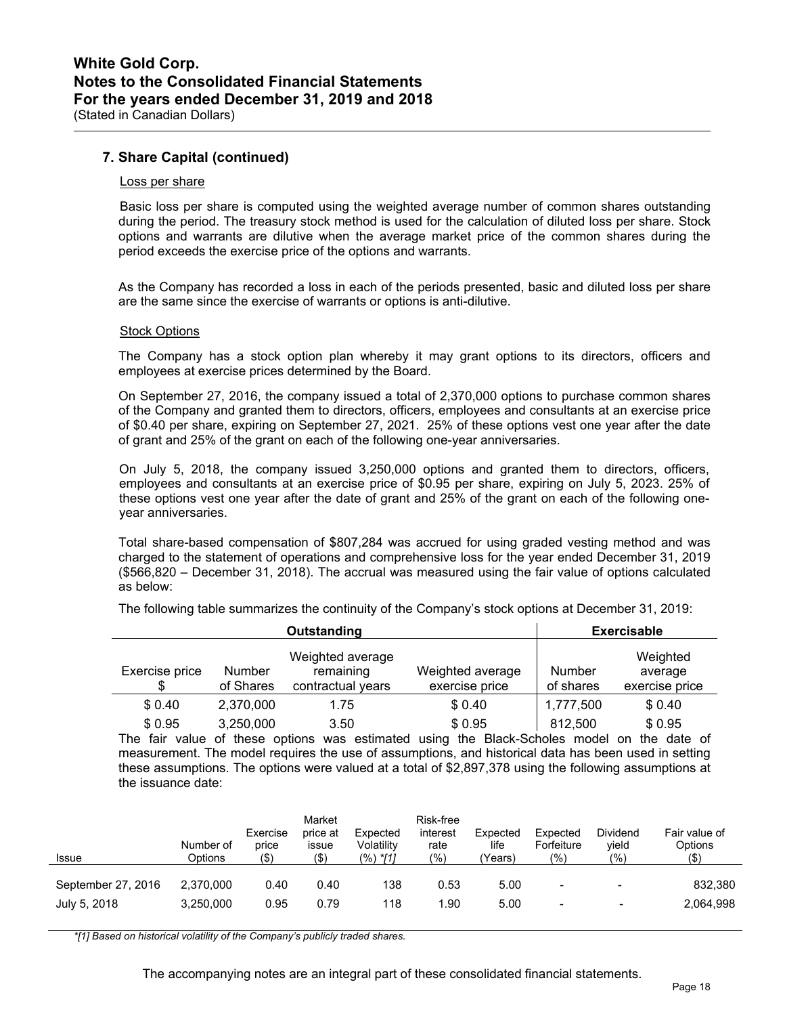## **7. Share Capital (continued)**

### Loss per share

 Basic loss per share is computed using the weighted average number of common shares outstanding during the period. The treasury stock method is used for the calculation of diluted loss per share. Stock options and warrants are dilutive when the average market price of the common shares during the period exceeds the exercise price of the options and warrants.

As the Company has recorded a loss in each of the periods presented, basic and diluted loss per share are the same since the exercise of warrants or options is anti-dilutive.

#### Stock Options

The Company has a stock option plan whereby it may grant options to its directors, officers and employees at exercise prices determined by the Board.

On September 27, 2016, the company issued a total of 2,370,000 options to purchase common shares of the Company and granted them to directors, officers, employees and consultants at an exercise price of \$0.40 per share, expiring on September 27, 2021. 25% of these options vest one year after the date of grant and 25% of the grant on each of the following one-year anniversaries.

On July 5, 2018, the company issued 3,250,000 options and granted them to directors, officers, employees and consultants at an exercise price of \$0.95 per share, expiring on July 5, 2023. 25% of these options vest one year after the date of grant and 25% of the grant on each of the following oneyear anniversaries.

Total share-based compensation of \$807,284 was accrued for using graded vesting method and was charged to the statement of operations and comprehensive loss for the year ended December 31, 2019 (\$566,820 – December 31, 2018). The accrual was measured using the fair value of options calculated as below:

|                                              | Outstanding                                        |                                                                                                         |                     | <b>Exercisable</b>                    |
|----------------------------------------------|----------------------------------------------------|---------------------------------------------------------------------------------------------------------|---------------------|---------------------------------------|
| Exercise price<br><b>Number</b><br>of Shares | Weighted average<br>remaining<br>contractual years | Weighted average<br>exercise price                                                                      | Number<br>of shares | Weighted<br>average<br>exercise price |
| \$0.40<br>2,370,000                          | 1.75                                               | \$0.40                                                                                                  | 1,777,500           | \$0.40                                |
| \$0.95<br>3,250,000                          | 3.50                                               | \$ 0.95                                                                                                 | 812,500             | \$0.95                                |
|                                              |                                                    | The fair value of these options was estimated using the Black-Scholes model on the date of              |                     |                                       |
|                                              |                                                    | measurement. The model requires the use of assumptions, and historical data has been used in setting    |                     |                                       |
|                                              |                                                    | these assumptions. The options were valued at a total of \$2,897,378 using the following assumptions at |                     |                                       |

The following table summarizes the continuity of the Company's stock options at December 31, 2019:

 $m$ s. The options were valued at a total of  $\frac{1}{2}$ ,897,378 using the following assumptions at the issuance date:

| <b>Issue</b>       | Number of<br>Options | Exercise<br>price<br>(\$` | Market<br>price at<br>issue<br>(\$) | Expected<br>Volatility<br>(%) */11 | Risk-free<br>interest<br>rate<br>(%) | Expected<br>life<br>'Years) | Expected<br>Forfeiture<br>(9) | Dividend<br>vield<br>(%) | Fair value of<br>Options<br>(\$) |
|--------------------|----------------------|---------------------------|-------------------------------------|------------------------------------|--------------------------------------|-----------------------------|-------------------------------|--------------------------|----------------------------------|
| September 27, 2016 | 2.370.000            | 0.40                      | 0.40                                | 138                                | 0.53                                 | 5.00                        | $\blacksquare$                | $\,$                     | 832,380                          |
| July 5, 2018       | 3,250,000            | 0.95                      | 0.79                                | 118                                | 1.90                                 | 5.00                        | $\overline{\phantom{a}}$      | $\overline{\phantom{0}}$ | 2,064,998                        |

*\*[1] Based on historical volatility of the Company's publicly traded shares.*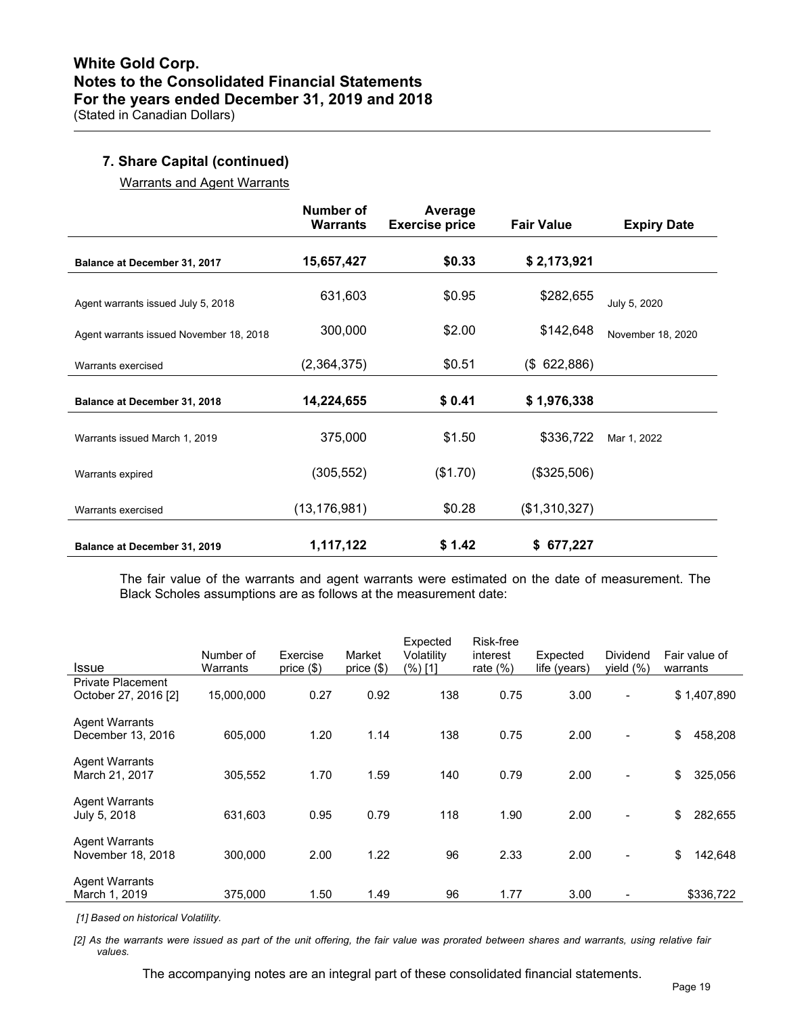## **7. Share Capital (continued)**

Warrants and Agent Warrants

|                                         | Number of<br><b>Warrants</b> | Average<br><b>Exercise price</b> | <b>Fair Value</b> | <b>Expiry Date</b> |
|-----------------------------------------|------------------------------|----------------------------------|-------------------|--------------------|
| Balance at December 31, 2017            | 15,657,427                   | \$0.33                           | \$2,173,921       |                    |
| Agent warrants issued July 5, 2018      | 631,603                      | \$0.95                           | \$282,655         | July 5, 2020       |
| Agent warrants issued November 18, 2018 | 300,000                      | \$2.00                           | \$142,648         | November 18, 2020  |
| Warrants exercised                      | (2,364,375)                  | \$0.51                           | (\$622,886)       |                    |
| <b>Balance at December 31, 2018</b>     | 14,224,655                   | \$0.41                           | \$1,976,338       |                    |
| Warrants issued March 1, 2019           | 375,000                      | \$1.50                           | \$336,722         | Mar 1, 2022        |
| Warrants expired                        | (305, 552)                   | (\$1.70)                         | (\$325,506)       |                    |
| Warrants exercised                      | (13, 176, 981)               | \$0.28                           | (\$1,310,327)     |                    |
| Balance at December 31, 2019            | 1,117,122                    | \$1.42                           | \$677,227         |                    |

The fair value of the warrants and agent warrants were estimated on the date of measurement. The Black Scholes assumptions are as follows at the measurement date:

| Issue                                            | Number of<br>Warrants | Exercise<br>price $(\$)$ | Market<br>price (\$) | Expected<br>Volatility<br>(%) [1] | Risk-free<br>interest<br>rate $(%)$ | Expected<br>life (years) | <b>Dividend</b><br>yield $(\%)$ | Fair value of<br>warrants |
|--------------------------------------------------|-----------------------|--------------------------|----------------------|-----------------------------------|-------------------------------------|--------------------------|---------------------------------|---------------------------|
| <b>Private Placement</b><br>October 27, 2016 [2] | 15,000,000            | 0.27                     | 0.92                 | 138                               | 0.75                                | 3.00                     | $\overline{\phantom{a}}$        | \$1,407,890               |
| <b>Agent Warrants</b><br>December 13, 2016       | 605,000               | 1.20                     | 1.14                 | 138                               | 0.75                                | 2.00                     | $\overline{\phantom{a}}$        | \$<br>458,208             |
| <b>Agent Warrants</b><br>March 21, 2017          | 305,552               | 1.70                     | 1.59                 | 140                               | 0.79                                | 2.00                     | $\overline{\phantom{a}}$        | \$<br>325,056             |
| <b>Agent Warrants</b><br>July 5, 2018            | 631,603               | 0.95                     | 0.79                 | 118                               | 1.90                                | 2.00                     | $\overline{\phantom{a}}$        | \$<br>282,655             |
| <b>Agent Warrants</b><br>November 18, 2018       | 300,000               | 2.00                     | 1.22                 | 96                                | 2.33                                | 2.00                     | $\overline{\phantom{a}}$        | \$<br>142,648             |
| <b>Agent Warrants</b><br>March 1, 2019           | 375.000               | 1.50                     | 1.49                 | 96                                | 1.77                                | 3.00                     |                                 | \$336,722                 |

 *[1] Based on historical Volatility.* 

*[2] As the warrants were issued as part of the unit offering, the fair value was prorated between shares and warrants, using relative fair values.* 

The accompanying notes are an integral part of these consolidated financial statements.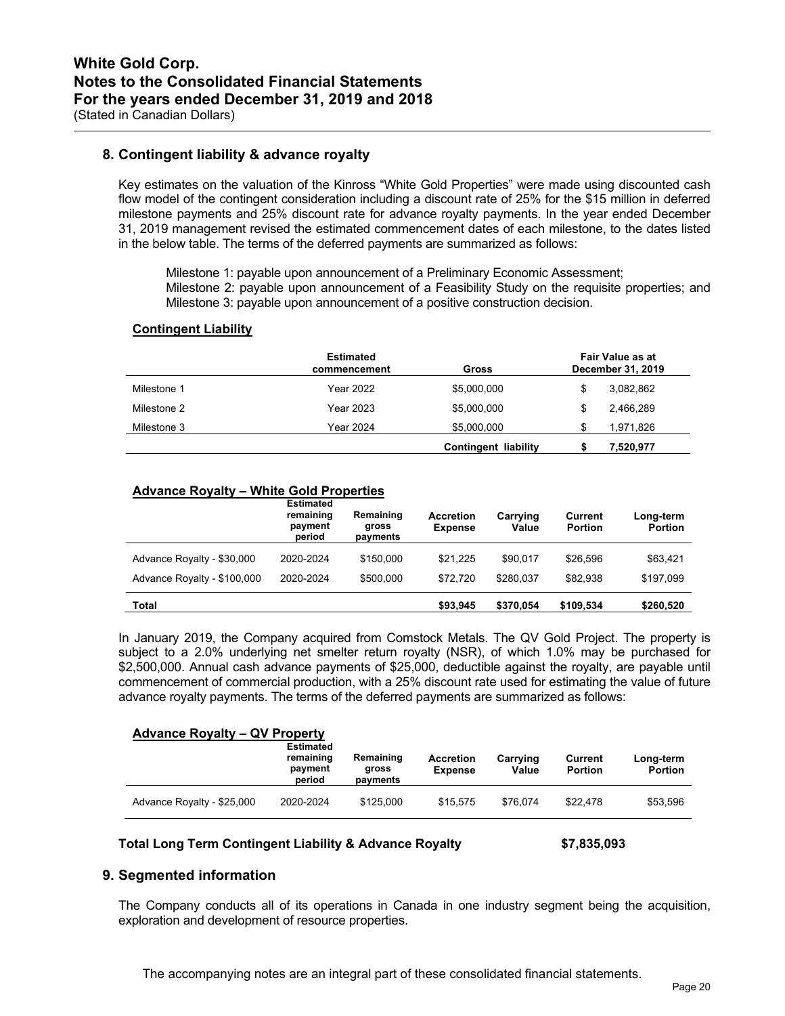## **8. Contingent liability & advance royalty**

Key estimates on the valuation of the Kinross "White Gold Properties" were made using discounted cash flow model of the contingent consideration including a discount rate of 25% for the \$15 million in deferred milestone payments and 25% discount rate for advance royalty payments. In the year ended December 31, 2019 management revised the estimated commencement dates of each milestone, to the dates listed in the below table. The terms of the deferred payments are summarized as follows:

Milestone 1: payable upon announcement of a Preliminary Economic Assessment; Milestone 2: payable upon announcement of a Feasibility Study on the requisite properties; and Milestone 3: payable upon announcement of a positive construction decision.

## **Contingent Liability**

|             | Estimated<br>commencement | Gross                | Fair Value as at<br>December 31, 2019 |           |  |  |
|-------------|---------------------------|----------------------|---------------------------------------|-----------|--|--|
| Milestone 1 | <b>Year 2022</b>          | \$5,000,000          | \$                                    | 3,082,862 |  |  |
| Milestone 2 | <b>Year 2023</b>          | \$5,000,000          | \$                                    | 2.466.289 |  |  |
| Milestone 3 | <b>Year 2024</b>          | \$5,000,000          | S.                                    | 1,971,826 |  |  |
|             |                           | Contingent liability |                                       | 7,520,977 |  |  |

## **Advance Royalty – White Gold Properties**

|                             | <b>Estimated</b><br>remaining<br>payment<br>period | Remaining<br>gross<br>payments | <b>Accretion</b><br><b>Expense</b> | Carrying<br>Value | Current<br><b>Portion</b> | Long-term<br><b>Portion</b> |
|-----------------------------|----------------------------------------------------|--------------------------------|------------------------------------|-------------------|---------------------------|-----------------------------|
| Advance Royalty - \$30,000  | 2020-2024                                          | \$150,000                      | \$21.225                           | \$90.017          | \$26,596                  | \$63,421                    |
| Advance Royalty - \$100,000 | 2020-2024                                          | \$500,000                      | \$72.720                           | \$280.037         | \$82.938                  | \$197.099                   |
| Total                       |                                                    |                                | \$93,945                           | \$370.054         | \$109,534                 | \$260,520                   |

In January 2019, the Company acquired from Comstock Metals. The QV Gold Project. The property is subject to a 2.0% underlying net smelter return royalty (NSR), of which 1.0% may be purchased for \$2,500,000. Annual cash advance payments of \$25,000, deductible against the royalty, are payable until commencement of commercial production, with a 25% discount rate used for estimating the value of future advance royalty payments. The terms of the deferred payments are summarized as follows:

#### **Advance Royalty – QV Property**

|                            | <b>Estimated</b><br>remaining<br>payment<br>period | Remaining<br>gross<br>payments | Accretion<br><b>Expense</b> | Carrying<br>Value | Current<br><b>Portion</b> | Long-term<br><b>Portion</b> |
|----------------------------|----------------------------------------------------|--------------------------------|-----------------------------|-------------------|---------------------------|-----------------------------|
| Advance Royalty - \$25,000 | 2020-2024                                          | \$125,000                      | \$15.575                    | \$76.074          | \$22.478                  | \$53,596                    |

#### **Total Long Term Contingent Liability & Advance Royalty \$7,835,093**

## **9. Segmented information**

The Company conducts all of its operations in Canada in one industry segment being the acquisition, exploration and development of resource properties.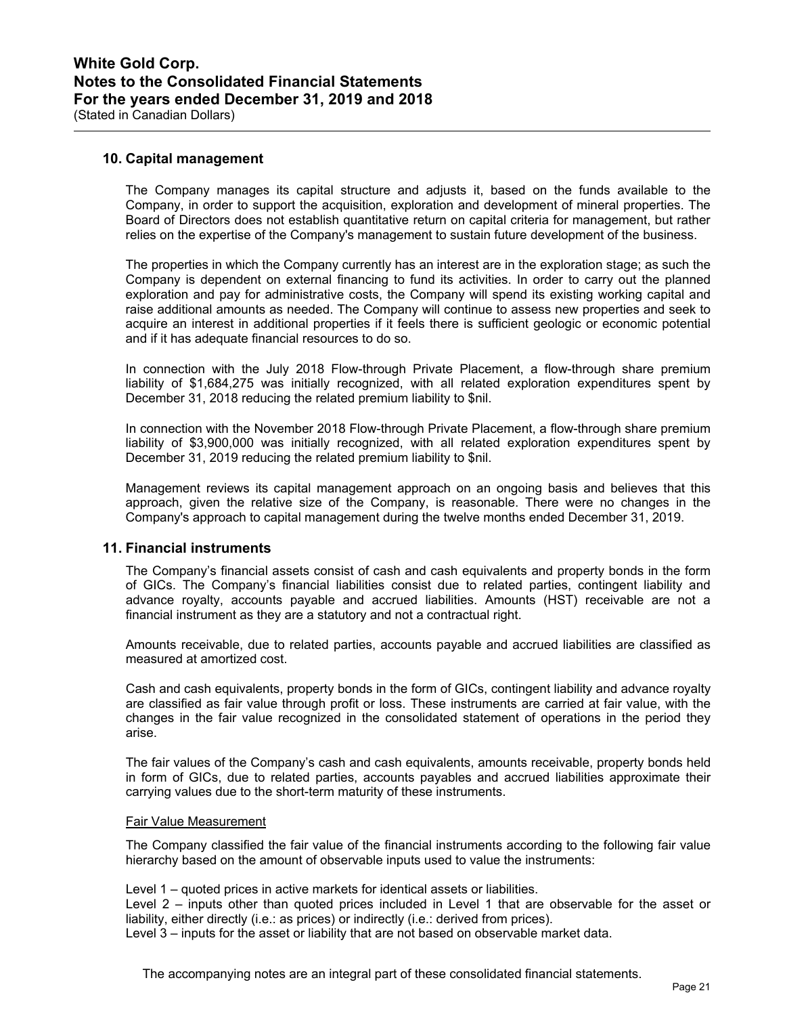## **10. Capital management**

The Company manages its capital structure and adjusts it, based on the funds available to the Company, in order to support the acquisition, exploration and development of mineral properties. The Board of Directors does not establish quantitative return on capital criteria for management, but rather relies on the expertise of the Company's management to sustain future development of the business.

The properties in which the Company currently has an interest are in the exploration stage; as such the Company is dependent on external financing to fund its activities. In order to carry out the planned exploration and pay for administrative costs, the Company will spend its existing working capital and raise additional amounts as needed. The Company will continue to assess new properties and seek to acquire an interest in additional properties if it feels there is sufficient geologic or economic potential and if it has adequate financial resources to do so.

In connection with the July 2018 Flow-through Private Placement, a flow-through share premium liability of \$1,684,275 was initially recognized, with all related exploration expenditures spent by December 31, 2018 reducing the related premium liability to \$nil.

In connection with the November 2018 Flow-through Private Placement, a flow-through share premium liability of \$3,900,000 was initially recognized, with all related exploration expenditures spent by December 31, 2019 reducing the related premium liability to \$nil.

Management reviews its capital management approach on an ongoing basis and believes that this approach, given the relative size of the Company, is reasonable. There were no changes in the Company's approach to capital management during the twelve months ended December 31, 2019.

## **11. Financial instruments**

The Company's financial assets consist of cash and cash equivalents and property bonds in the form of GICs. The Company's financial liabilities consist due to related parties, contingent liability and advance royalty, accounts payable and accrued liabilities. Amounts (HST) receivable are not a financial instrument as they are a statutory and not a contractual right.

Amounts receivable, due to related parties, accounts payable and accrued liabilities are classified as measured at amortized cost.

Cash and cash equivalents, property bonds in the form of GICs, contingent liability and advance royalty are classified as fair value through profit or loss. These instruments are carried at fair value, with the changes in the fair value recognized in the consolidated statement of operations in the period they arise.

The fair values of the Company's cash and cash equivalents, amounts receivable, property bonds held in form of GICs, due to related parties, accounts payables and accrued liabilities approximate their carrying values due to the short-term maturity of these instruments.

### Fair Value Measurement

The Company classified the fair value of the financial instruments according to the following fair value hierarchy based on the amount of observable inputs used to value the instruments:

Level 1 – quoted prices in active markets for identical assets or liabilities.

Level 2 – inputs other than quoted prices included in Level 1 that are observable for the asset or liability, either directly (i.e.: as prices) or indirectly (i.e.: derived from prices).

Level 3 – inputs for the asset or liability that are not based on observable market data.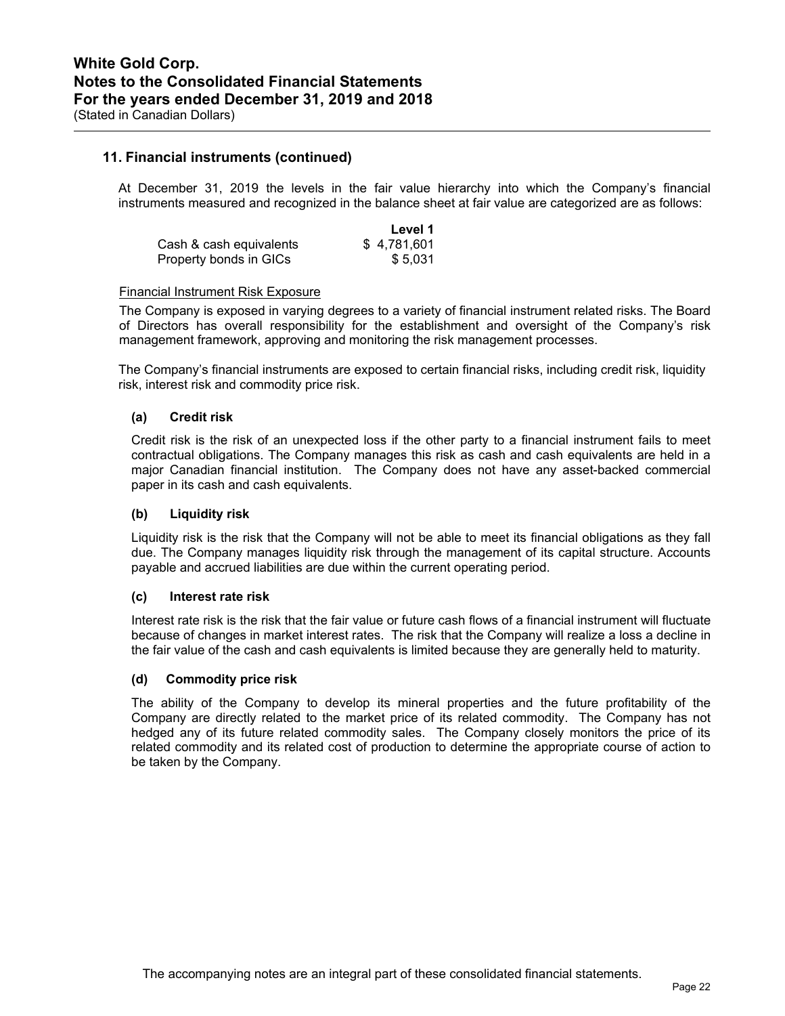## **11. Financial instruments (continued)**

At December 31, 2019 the levels in the fair value hierarchy into which the Company's financial instruments measured and recognized in the balance sheet at fair value are categorized are as follows:

|                         | Level 1     |
|-------------------------|-------------|
| Cash & cash equivalents | \$4.781.601 |
| Property bonds in GICs  | \$5.031     |

### Financial Instrument Risk Exposure

The Company is exposed in varying degrees to a variety of financial instrument related risks. The Board of Directors has overall responsibility for the establishment and oversight of the Company's risk management framework, approving and monitoring the risk management processes.

The Company's financial instruments are exposed to certain financial risks, including credit risk, liquidity risk, interest risk and commodity price risk.

## **(a) Credit risk**

Credit risk is the risk of an unexpected loss if the other party to a financial instrument fails to meet contractual obligations. The Company manages this risk as cash and cash equivalents are held in a major Canadian financial institution. The Company does not have any asset-backed commercial paper in its cash and cash equivalents.

## **(b) Liquidity risk**

Liquidity risk is the risk that the Company will not be able to meet its financial obligations as they fall due. The Company manages liquidity risk through the management of its capital structure. Accounts payable and accrued liabilities are due within the current operating period.

#### **(c) Interest rate risk**

Interest rate risk is the risk that the fair value or future cash flows of a financial instrument will fluctuate because of changes in market interest rates. The risk that the Company will realize a loss a decline in the fair value of the cash and cash equivalents is limited because they are generally held to maturity.

#### **(d) Commodity price risk**

The ability of the Company to develop its mineral properties and the future profitability of the Company are directly related to the market price of its related commodity. The Company has not hedged any of its future related commodity sales. The Company closely monitors the price of its related commodity and its related cost of production to determine the appropriate course of action to be taken by the Company.